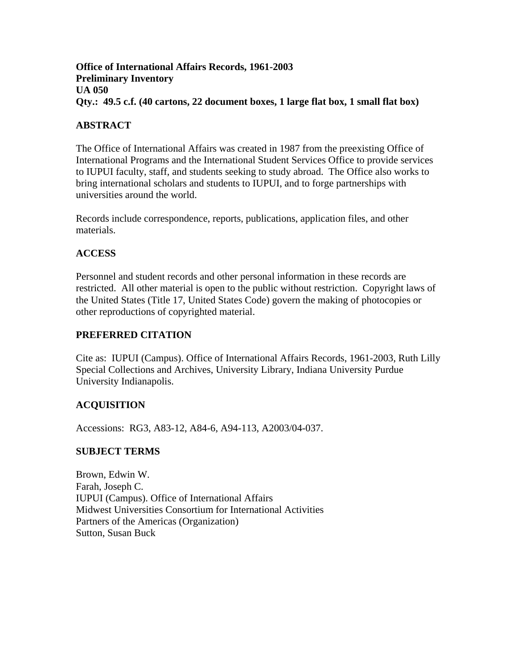# **Office of International Affairs Records, 1961-2003 Preliminary Inventory UA 050 Qty.: 49.5 c.f. (40 cartons, 22 document boxes, 1 large flat box, 1 small flat box)**

# **ABSTRACT**

The Office of International Affairs was created in 1987 from the preexisting Office of International Programs and the International Student Services Office to provide services to IUPUI faculty, staff, and students seeking to study abroad. The Office also works to bring international scholars and students to IUPUI, and to forge partnerships with universities around the world.

Records include correspondence, reports, publications, application files, and other materials.

# **ACCESS**

Personnel and student records and other personal information in these records are restricted. All other material is open to the public without restriction. Copyright laws of the United States (Title 17, United States Code) govern the making of photocopies or other reproductions of copyrighted material.

## **PREFERRED CITATION**

Cite as: IUPUI (Campus). Office of International Affairs Records, 1961-2003, Ruth Lilly Special Collections and Archives, University Library, Indiana University Purdue University Indianapolis.

# **ACQUISITION**

Accessions: RG3, A83-12, A84-6, A94-113, A2003/04-037.

## **SUBJECT TERMS**

Brown, Edwin W. Farah, Joseph C. IUPUI (Campus). Office of International Affairs Midwest Universities Consortium for International Activities Partners of the Americas (Organization) Sutton, Susan Buck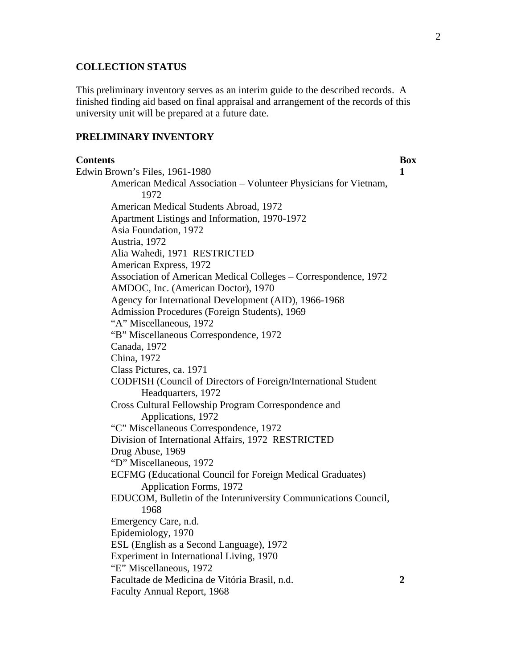## **COLLECTION STATUS**

This preliminary inventory serves as an interim guide to the described records. A finished finding aid based on final appraisal and arrangement of the records of this university unit will be prepared at a future date.

## **PRELIMINARY INVENTORY**

**Contents** Box Edwin Brown's Files, 1961-1980 **1**  American Medical Association – Volunteer Physicians for Vietnam, 1972 American Medical Students Abroad, 1972 Apartment Listings and Information, 1970-1972 Asia Foundation, 1972 Austria, 1972 Alia Wahedi, 1971 RESTRICTED American Express, 1972 Association of American Medical Colleges – Correspondence, 1972 AMDOC, Inc. (American Doctor), 1970 Agency for International Development (AID), 1966-1968 Admission Procedures (Foreign Students), 1969 "A" Miscellaneous, 1972 "B" Miscellaneous Correspondence, 1972 Canada, 1972 China, 1972 Class Pictures, ca. 1971 CODFISH (Council of Directors of Foreign/International Student Headquarters, 1972 Cross Cultural Fellowship Program Correspondence and Applications, 1972 "C" Miscellaneous Correspondence, 1972 Division of International Affairs, 1972 RESTRICTED Drug Abuse, 1969 "D" Miscellaneous, 1972 ECFMG (Educational Council for Foreign Medical Graduates) Application Forms, 1972 EDUCOM, Bulletin of the Interuniversity Communications Council, 1968 Emergency Care, n.d. Epidemiology, 1970 ESL (English as a Second Language), 1972 Experiment in International Living, 1970 "E" Miscellaneous, 1972 Facultade de Medicina de Vitória Brasil, n.d. **2**  Faculty Annual Report, 1968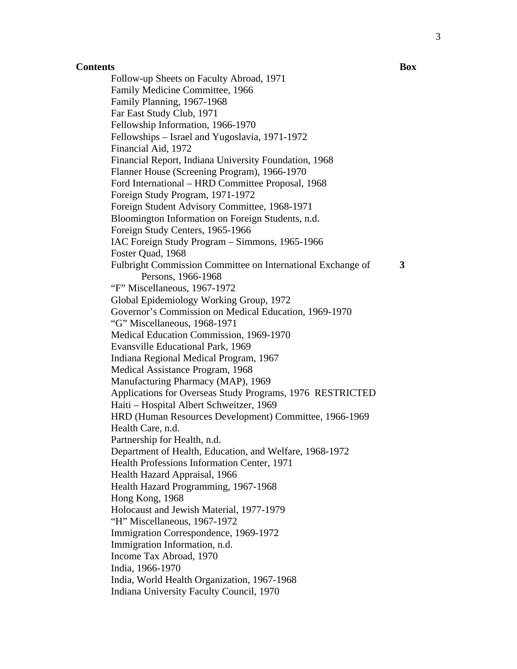Follow-up Sheets on Faculty Abroad, 1971 Family Medicine Committee, 1966 Family Planning, 1967-1968 Far East Study Club, 1971 Fellowship Information, 1966-1970 Fellowships – Israel and Yugoslavia, 1971-1972 Financial Aid, 1972 Financial Report, Indiana University Foundation, 1968 Flanner House (Screening Program), 1966-1970 Ford International – HRD Committee Proposal, 1968 Foreign Study Program, 1971-1972 Foreign Student Advisory Committee, 1968-1971 Bloomington Information on Foreign Students, n.d. Foreign Study Centers, 1965-1966 IAC Foreign Study Program – Simmons, 1965-1966 Foster Quad, 1968 Fulbright Commission Committee on International Exchange of Persons, 1966-1968 **3**  "F" Miscellaneous, 1967-1972 Global Epidemiology Working Group, 1972 Governor's Commission on Medical Education, 1969-1970 "G" Miscellaneous, 1968-1971 Medical Education Commission, 1969-1970 Evansville Educational Park, 1969 Indiana Regional Medical Program, 1967 Medical Assistance Program, 1968 Manufacturing Pharmacy (MAP), 1969 Applications for Overseas Study Programs, 1976 RESTRICTED Haiti – Hospital Albert Schweitzer, 1969 HRD (Human Resources Development) Committee, 1966-1969 Health Care, n.d. Partnership for Health, n.d. Department of Health, Education, and Welfare, 1968-1972 Health Professions Information Center, 1971 Health Hazard Appraisal, 1966 Health Hazard Programming, 1967-1968 Hong Kong, 1968 Holocaust and Jewish Material, 1977-1979 "H" Miscellaneous, 1967-1972 Immigration Correspondence, 1969-1972 Immigration Information, n.d. Income Tax Abroad, 1970 India, 1966-1970 India, World Health Organization, 1967-1968 Indiana University Faculty Council, 1970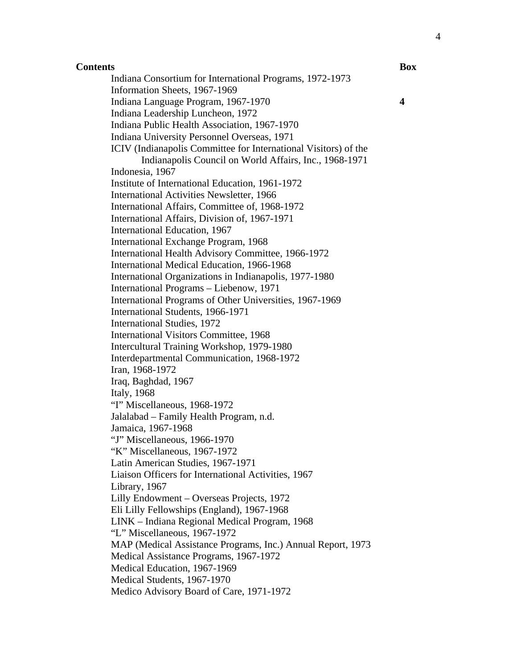Indiana Consortium for International Programs, 1972-1973 Information Sheets, 1967-1969 Indiana Language Program, 1967-1970 **4**  Indiana Leadership Luncheon, 1972 Indiana Public Health Association, 1967-1970 Indiana University Personnel Overseas, 1971 ICIV (Indianapolis Committee for International Visitors) of the Indianapolis Council on World Affairs, Inc., 1968-1971 Indonesia, 1967 Institute of International Education, 1961-1972 International Activities Newsletter, 1966 International Affairs, Committee of, 1968-1972 International Affairs, Division of, 1967-1971 International Education, 1967 International Exchange Program, 1968 International Health Advisory Committee, 1966-1972 International Medical Education, 1966-1968 International Organizations in Indianapolis, 1977-1980 International Programs – Liebenow, 1971 International Programs of Other Universities, 1967-1969 International Students, 1966-1971 International Studies, 1972 International Visitors Committee, 1968 Intercultural Training Workshop, 1979-1980 Interdepartmental Communication, 1968-1972 Iran, 1968-1972 Iraq, Baghdad, 1967 Italy, 1968 "I" Miscellaneous, 1968-1972 Jalalabad – Family Health Program, n.d. Jamaica, 1967-1968 "J" Miscellaneous, 1966-1970 "K" Miscellaneous, 1967-1972 Latin American Studies, 1967-1971 Liaison Officers for International Activities, 1967 Library, 1967 Lilly Endowment – Overseas Projects, 1972 Eli Lilly Fellowships (England), 1967-1968 LINK – Indiana Regional Medical Program, 1968 "L" Miscellaneous, 1967-1972 MAP (Medical Assistance Programs, Inc.) Annual Report, 1973 Medical Assistance Programs, 1967-1972 Medical Education, 1967-1969 Medical Students, 1967-1970 Medico Advisory Board of Care, 1971-1972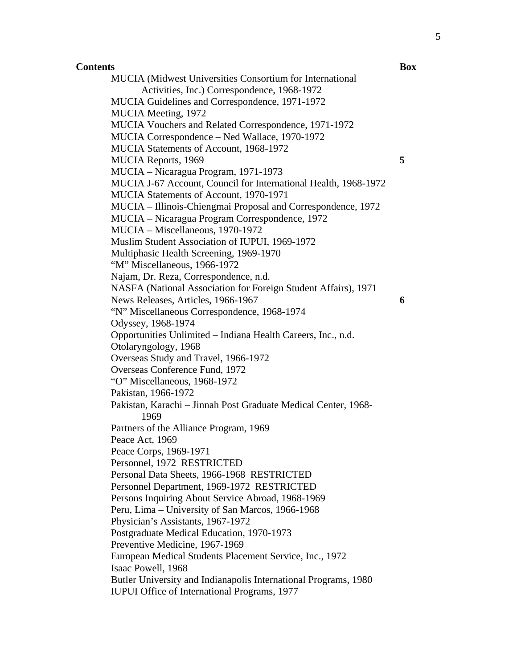**Contents** Box MUCIA (Midwest Universities Consortium for International Activities, Inc.) Correspondence, 1968-1972 MUCIA Guidelines and Correspondence, 1971-1972 MUCIA Meeting, 1972 MUCIA Vouchers and Related Correspondence, 1971-1972 MUCIA Correspondence – Ned Wallace, 1970-1972 MUCIA Statements of Account, 1968-1972 MUCIA Reports, 1969 **5**  MUCIA – Nicaragua Program, 1971-1973 MUCIA J-67 Account, Council for International Health, 1968-1972 MUCIA Statements of Account, 1970-1971 MUCIA – Illinois-Chiengmai Proposal and Correspondence, 1972 MUCIA – Nicaragua Program Correspondence, 1972 MUCIA – Miscellaneous, 1970-1972 Muslim Student Association of IUPUI, 1969-1972 Multiphasic Health Screening, 1969-1970 "M" Miscellaneous, 1966-1972 Najam, Dr. Reza, Correspondence, n.d. NASFA (National Association for Foreign Student Affairs), 1971 News Releases, Articles, 1966-1967 **6**  "N" Miscellaneous Correspondence, 1968-1974 Odyssey, 1968-1974 Opportunities Unlimited – Indiana Health Careers, Inc., n.d. Otolaryngology, 1968 Overseas Study and Travel, 1966-1972 Overseas Conference Fund, 1972 "O" Miscellaneous, 1968-1972 Pakistan, 1966-1972 Pakistan, Karachi – Jinnah Post Graduate Medical Center, 1968- 1969 Partners of the Alliance Program, 1969 Peace Act, 1969 Peace Corps, 1969-1971 Personnel, 1972 RESTRICTED Personal Data Sheets, 1966-1968 RESTRICTED Personnel Department, 1969-1972 RESTRICTED Persons Inquiring About Service Abroad, 1968-1969 Peru, Lima – University of San Marcos, 1966-1968 Physician's Assistants, 1967-1972 Postgraduate Medical Education, 1970-1973 Preventive Medicine, 1967-1969 European Medical Students Placement Service, Inc., 1972 Isaac Powell, 1968 Butler University and Indianapolis International Programs, 1980 IUPUI Office of International Programs, 1977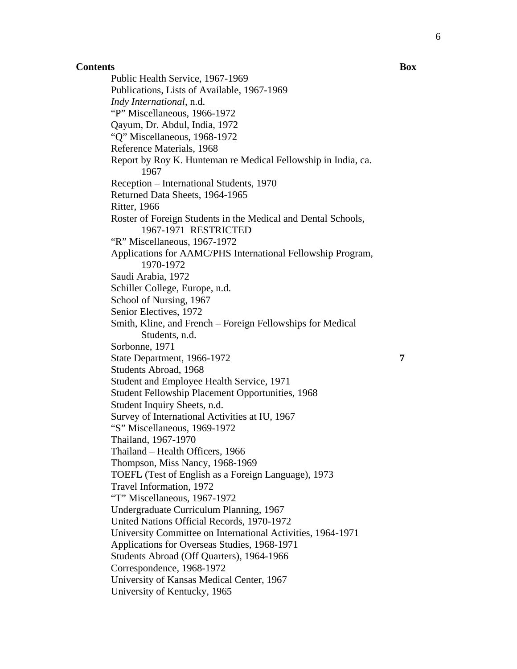Public Health Service, 1967-1969 Publications, Lists of Available, 1967-1969 *Indy International*, n.d. "P" Miscellaneous, 1966-1972 Qayum, Dr. Abdul, India, 1972 "Q" Miscellaneous, 1968-1972 Reference Materials, 1968 Report by Roy K. Hunteman re Medical Fellowship in India, ca. 1967 Reception – International Students, 1970 Returned Data Sheets, 1964-1965 Ritter, 1966 Roster of Foreign Students in the Medical and Dental Schools, 1967-1971 RESTRICTED "R" Miscellaneous, 1967-1972 Applications for AAMC/PHS International Fellowship Program, 1970-1972 Saudi Arabia, 1972 Schiller College, Europe, n.d. School of Nursing, 1967 Senior Electives, 1972 Smith, Kline, and French – Foreign Fellowships for Medical Students, n.d. Sorbonne, 1971 State Department, 1966-1972 **7**  Students Abroad, 1968 Student and Employee Health Service, 1971 Student Fellowship Placement Opportunities, 1968 Student Inquiry Sheets, n.d. Survey of International Activities at IU, 1967 "S" Miscellaneous, 1969-1972 Thailand, 1967-1970 Thailand – Health Officers, 1966 Thompson, Miss Nancy, 1968-1969 TOEFL (Test of English as a Foreign Language), 1973 Travel Information, 1972 "T" Miscellaneous, 1967-1972 Undergraduate Curriculum Planning, 1967 United Nations Official Records, 1970-1972 University Committee on International Activities, 1964-1971 Applications for Overseas Studies, 1968-1971 Students Abroad (Off Quarters), 1964-1966 Correspondence, 1968-1972 University of Kansas Medical Center, 1967 University of Kentucky, 1965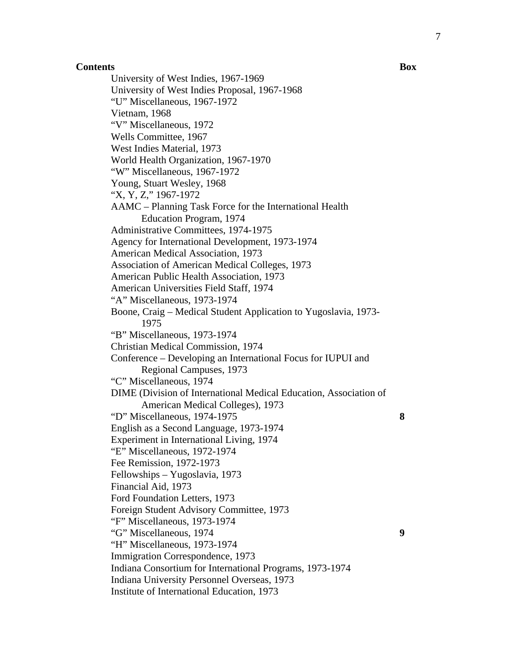**Contents** Box University of West Indies, 1967-1969 University of West Indies Proposal, 1967-1968 "U" Miscellaneous, 1967-1972 Vietnam, 1968 "V" Miscellaneous, 1972 Wells Committee, 1967 West Indies Material, 1973 World Health Organization, 1967-1970 "W" Miscellaneous, 1967-1972 Young, Stuart Wesley, 1968 "X, Y, Z," 1967-1972 AAMC – Planning Task Force for the International Health Education Program, 1974 Administrative Committees, 1974-1975 Agency for International Development, 1973-1974 American Medical Association, 1973 Association of American Medical Colleges, 1973 American Public Health Association, 1973 American Universities Field Staff, 1974 "A" Miscellaneous, 1973-1974 Boone, Craig – Medical Student Application to Yugoslavia, 1973- 1975 "B" Miscellaneous, 1973-1974 Christian Medical Commission, 1974 Conference – Developing an International Focus for IUPUI and Regional Campuses, 1973 "C" Miscellaneous, 1974 DIME (Division of International Medical Education, Association of American Medical Colleges), 1973 "D" Miscellaneous, 1974-1975 **8**  English as a Second Language, 1973-1974 Experiment in International Living, 1974 "E" Miscellaneous, 1972-1974 Fee Remission, 1972-1973 Fellowships – Yugoslavia, 1973 Financial Aid, 1973 Ford Foundation Letters, 1973 Foreign Student Advisory Committee, 1973 "F" Miscellaneous, 1973-1974 "G" Miscellaneous, 1974 **9**  "H" Miscellaneous, 1973-1974 Immigration Correspondence, 1973 Indiana Consortium for International Programs, 1973-1974 Indiana University Personnel Overseas, 1973 Institute of International Education, 1973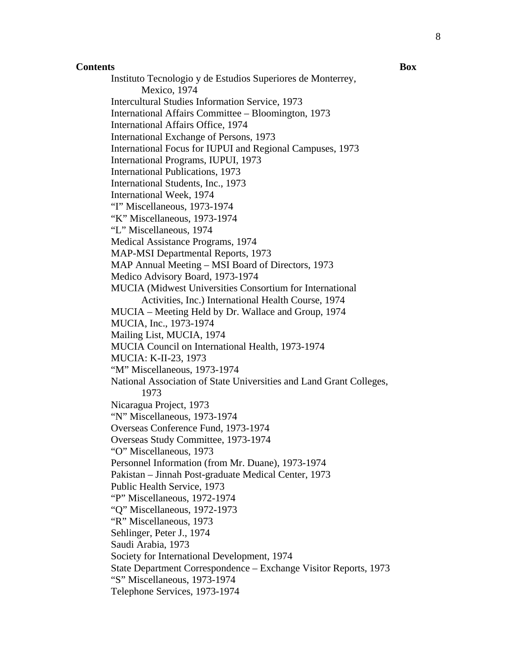**Contents** Box Instituto Tecnologio y de Estudios Superiores de Monterrey, Mexico, 1974 Intercultural Studies Information Service, 1973 International Affairs Committee – Bloomington, 1973 International Affairs Office, 1974 International Exchange of Persons, 1973 International Focus for IUPUI and Regional Campuses, 1973 International Programs, IUPUI, 1973 International Publications, 1973 International Students, Inc., 1973 International Week, 1974 "I" Miscellaneous, 1973-1974 "K" Miscellaneous, 1973-1974 "L" Miscellaneous, 1974 Medical Assistance Programs, 1974 MAP-MSI Departmental Reports, 1973 MAP Annual Meeting – MSI Board of Directors, 1973 Medico Advisory Board, 1973-1974 MUCIA (Midwest Universities Consortium for International Activities, Inc.) International Health Course, 1974 MUCIA – Meeting Held by Dr. Wallace and Group, 1974 MUCIA, Inc., 1973-1974 Mailing List, MUCIA, 1974 MUCIA Council on International Health, 1973-1974 MUCIA: K-II-23, 1973 "M" Miscellaneous, 1973-1974 National Association of State Universities and Land Grant Colleges, 1973 Nicaragua Project, 1973 "N" Miscellaneous, 1973-1974 Overseas Conference Fund, 1973-1974 Overseas Study Committee, 1973-1974 "O" Miscellaneous, 1973 Personnel Information (from Mr. Duane), 1973-1974 Pakistan – Jinnah Post-graduate Medical Center, 1973 Public Health Service, 1973 "P" Miscellaneous, 1972-1974 "Q" Miscellaneous, 1972-1973 "R" Miscellaneous, 1973 Sehlinger, Peter J., 1974 Saudi Arabia, 1973 Society for International Development, 1974 State Department Correspondence – Exchange Visitor Reports, 1973 "S" Miscellaneous, 1973-1974 Telephone Services, 1973-1974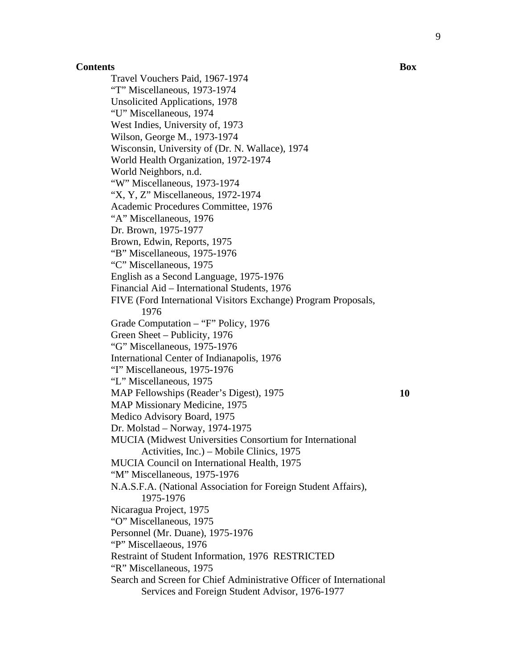Travel Vouchers Paid, 1967-1974 "T" Miscellaneous, 1973-1974 Unsolicited Applications, 1978 "U" Miscellaneous, 1974 West Indies, University of, 1973 Wilson, George M., 1973-1974 Wisconsin, University of (Dr. N. Wallace), 1974 World Health Organization, 1972-1974 World Neighbors, n.d. "W" Miscellaneous, 1973-1974 "X, Y, Z" Miscellaneous, 1972-1974 Academic Procedures Committee, 1976 "A" Miscellaneous, 1976 Dr. Brown, 1975-1977 Brown, Edwin, Reports, 1975 "B" Miscellaneous, 1975-1976 "C" Miscellaneous, 1975 English as a Second Language, 1975-1976 Financial Aid – International Students, 1976 FIVE (Ford International Visitors Exchange) Program Proposals, 1976 Grade Computation – "F" Policy, 1976 Green Sheet – Publicity, 1976 "G" Miscellaneous, 1975-1976 International Center of Indianapolis, 1976 "I" Miscellaneous, 1975-1976 "L" Miscellaneous, 1975 MAP Fellowships (Reader's Digest), 1975 **10**  MAP Missionary Medicine, 1975 Medico Advisory Board, 1975 Dr. Molstad – Norway, 1974-1975 MUCIA (Midwest Universities Consortium for International Activities, Inc.) – Mobile Clinics, 1975 MUCIA Council on International Health, 1975 "M" Miscellaneous, 1975-1976 N.A.S.F.A. (National Association for Foreign Student Affairs), 1975-1976 Nicaragua Project, 1975 "O" Miscellaneous, 1975 Personnel (Mr. Duane), 1975-1976 "P" Miscellaeous, 1976 Restraint of Student Information, 1976 RESTRICTED "R" Miscellaneous, 1975 Search and Screen for Chief Administrative Officer of International Services and Foreign Student Advisor, 1976-1977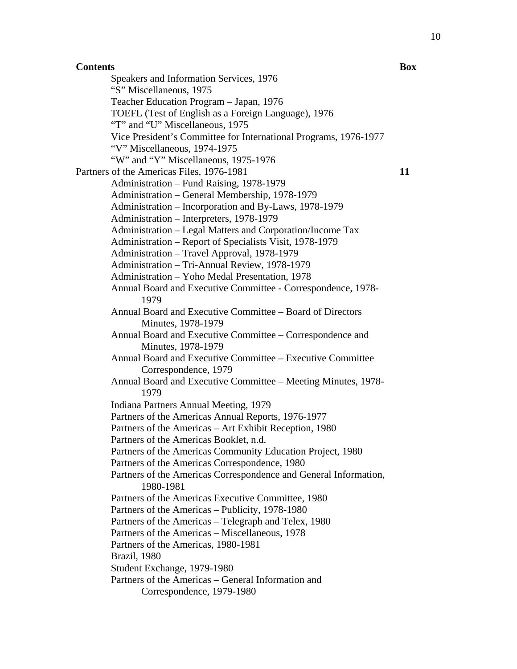Speakers and Information Services, 1976 "S" Miscellaneous, 1975 Teacher Education Program – Japan, 1976 TOEFL (Test of English as a Foreign Language), 1976 "T" and "U" Miscellaneous, 1975 Vice President's Committee for International Programs, 1976-1977 "V" Miscellaneous, 1974-1975 "W" and "Y" Miscellaneous, 1975-1976 Partners of the Americas Files, 1976-1981 **11**  Administration – Fund Raising, 1978-1979 Administration – General Membership, 1978-1979 Administration – Incorporation and By-Laws, 1978-1979 Administration – Interpreters, 1978-1979 Administration – Legal Matters and Corporation/Income Tax Administration – Report of Specialists Visit, 1978-1979 Administration – Travel Approval, 1978-1979 Administration – Tri-Annual Review, 1978-1979 Administration – Yoho Medal Presentation, 1978 Annual Board and Executive Committee - Correspondence, 1978- 1979 Annual Board and Executive Committee – Board of Directors Minutes, 1978-1979 Annual Board and Executive Committee – Correspondence and Minutes, 1978-1979 Annual Board and Executive Committee – Executive Committee Correspondence, 1979 Annual Board and Executive Committee – Meeting Minutes, 1978- 1979 Indiana Partners Annual Meeting, 1979 Partners of the Americas Annual Reports, 1976-1977 Partners of the Americas – Art Exhibit Reception, 1980 Partners of the Americas Booklet, n.d. Partners of the Americas Community Education Project, 1980 Partners of the Americas Correspondence, 1980 Partners of the Americas Correspondence and General Information, 1980-1981 Partners of the Americas Executive Committee, 1980 Partners of the Americas – Publicity, 1978-1980 Partners of the Americas – Telegraph and Telex, 1980 Partners of the Americas – Miscellaneous, 1978 Partners of the Americas, 1980-1981 Brazil, 1980 Student Exchange, 1979-1980 Partners of the Americas – General Information and Correspondence, 1979-1980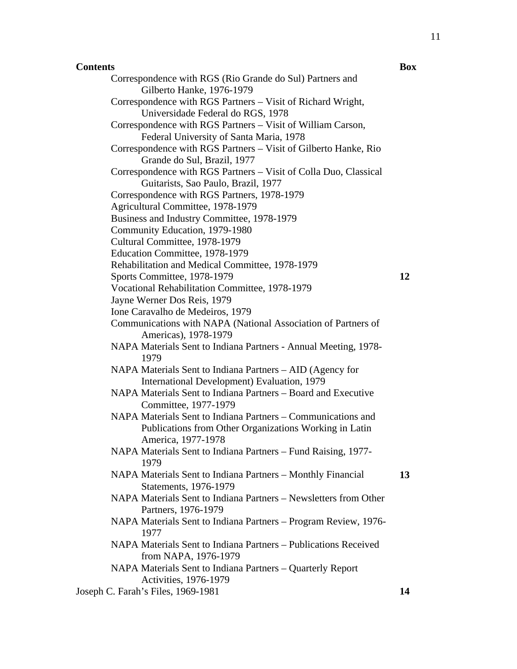**Contents** Box Correspondence with RGS (Rio Grande do Sul) Partners and Gilberto Hanke, 1976-1979 Correspondence with RGS Partners – Visit of Richard Wright, Universidade Federal do RGS, 1978 Correspondence with RGS Partners – Visit of William Carson, Federal University of Santa Maria, 1978 Correspondence with RGS Partners – Visit of Gilberto Hanke, Rio Grande do Sul, Brazil, 1977 Correspondence with RGS Partners – Visit of Colla Duo, Classical Guitarists, Sao Paulo, Brazil, 1977 Correspondence with RGS Partners, 1978-1979 Agricultural Committee, 1978-1979 Business and Industry Committee, 1978-1979 Community Education, 1979-1980 Cultural Committee, 1978-1979 Education Committee, 1978-1979 Rehabilitation and Medical Committee, 1978-1979 Sports Committee, 1978-1979 **12**  Vocational Rehabilitation Committee, 1978-1979 Jayne Werner Dos Reis, 1979 Ione Caravalho de Medeiros, 1979 Communications with NAPA (National Association of Partners of Americas), 1978-1979 NAPA Materials Sent to Indiana Partners - Annual Meeting, 1978- 1979 NAPA Materials Sent to Indiana Partners – AID (Agency for International Development) Evaluation, 1979 NAPA Materials Sent to Indiana Partners – Board and Executive Committee, 1977-1979 NAPA Materials Sent to Indiana Partners – Communications and Publications from Other Organizations Working in Latin America, 1977-1978 NAPA Materials Sent to Indiana Partners – Fund Raising, 1977- 1979 NAPA Materials Sent to Indiana Partners – Monthly Financial Statements, 1976-1979 NAPA Materials Sent to Indiana Partners – Newsletters from Other Partners, 1976-1979 NAPA Materials Sent to Indiana Partners – Program Review, 1976- 1977 NAPA Materials Sent to Indiana Partners – Publications Received from NAPA, 1976-1979 NAPA Materials Sent to Indiana Partners – Quarterly Report Activities, 1976-1979 Joseph C. Farah's Files, 1969-1981 **14** 

**13**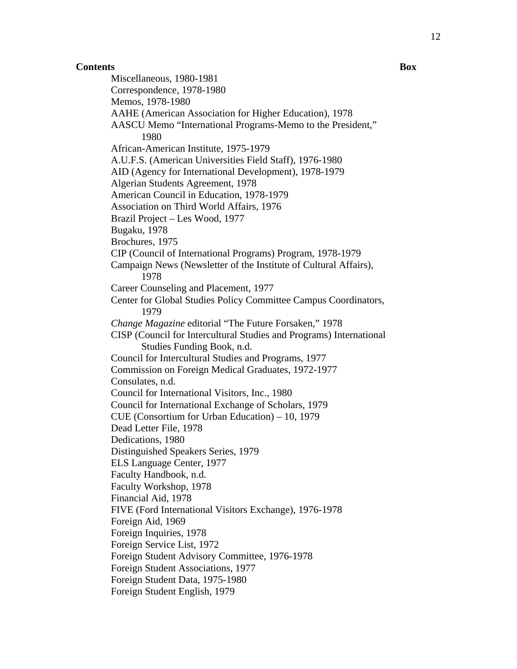Miscellaneous, 1980-1981 Correspondence, 1978-1980 Memos, 1978-1980 AAHE (American Association for Higher Education), 1978 AASCU Memo "International Programs-Memo to the President," 1980 African-American Institute, 1975-1979 A.U.F.S. (American Universities Field Staff), 1976-1980 AID (Agency for International Development), 1978-1979 Algerian Students Agreement, 1978 American Council in Education, 1978-1979 Association on Third World Affairs, 1976 Brazil Project – Les Wood, 1977 Bugaku, 1978 Brochures, 1975 CIP (Council of International Programs) Program, 1978-1979 Campaign News (Newsletter of the Institute of Cultural Affairs), 1978 Career Counseling and Placement, 1977 Center for Global Studies Policy Committee Campus Coordinators, 1979 *Change Magazine* editorial "The Future Forsaken," 1978 CISP (Council for Intercultural Studies and Programs) International Studies Funding Book, n.d. Council for Intercultural Studies and Programs, 1977 Commission on Foreign Medical Graduates, 1972-1977 Consulates, n.d. Council for International Visitors, Inc., 1980 Council for International Exchange of Scholars, 1979 CUE (Consortium for Urban Education) – 10, 1979 Dead Letter File, 1978 Dedications, 1980 Distinguished Speakers Series, 1979 ELS Language Center, 1977 Faculty Handbook, n.d. Faculty Workshop, 1978 Financial Aid, 1978 FIVE (Ford International Visitors Exchange), 1976-1978 Foreign Aid, 1969 Foreign Inquiries, 1978 Foreign Service List, 1972 Foreign Student Advisory Committee, 1976-1978 Foreign Student Associations, 1977 Foreign Student Data, 1975-1980 Foreign Student English, 1979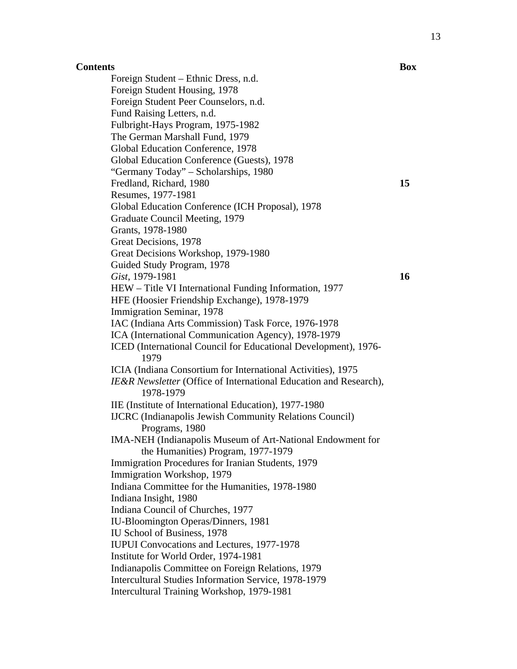Foreign Student – Ethnic Dress, n.d. Foreign Student Housing, 1978 Foreign Student Peer Counselors, n.d. Fund Raising Letters, n.d. Fulbright-Hays Program, 1975-1982 The German Marshall Fund, 1979 Global Education Conference, 1978 Global Education Conference (Guests), 1978 "Germany Today" – Scholarships, 1980 Fredland, Richard, 1980 **15**  Resumes, 1977-1981 Global Education Conference (ICH Proposal), 1978 Graduate Council Meeting, 1979 Grants, 1978-1980 Great Decisions, 1978 Great Decisions Workshop, 1979-1980 Guided Study Program, 1978 *Gist*, 1979-1981 **16**  HEW – Title VI International Funding Information, 1977 HFE (Hoosier Friendship Exchange), 1978-1979 Immigration Seminar, 1978 IAC (Indiana Arts Commission) Task Force, 1976-1978 ICA (International Communication Agency), 1978-1979 ICED (International Council for Educational Development), 1976- 1979 ICIA (Indiana Consortium for International Activities), 1975 *IE&R Newsletter* (Office of International Education and Research), 1978-1979 IIE (Institute of International Education), 1977-1980 IJCRC (Indianapolis Jewish Community Relations Council) Programs, 1980 IMA-NEH (Indianapolis Museum of Art-National Endowment for the Humanities) Program, 1977-1979 Immigration Procedures for Iranian Students, 1979 Immigration Workshop, 1979 Indiana Committee for the Humanities, 1978-1980 Indiana Insight, 1980 Indiana Council of Churches, 1977 IU-Bloomington Operas/Dinners, 1981 IU School of Business, 1978 IUPUI Convocations and Lectures, 1977-1978 Institute for World Order, 1974-1981 Indianapolis Committee on Foreign Relations, 1979 Intercultural Studies Information Service, 1978-1979 Intercultural Training Workshop, 1979-1981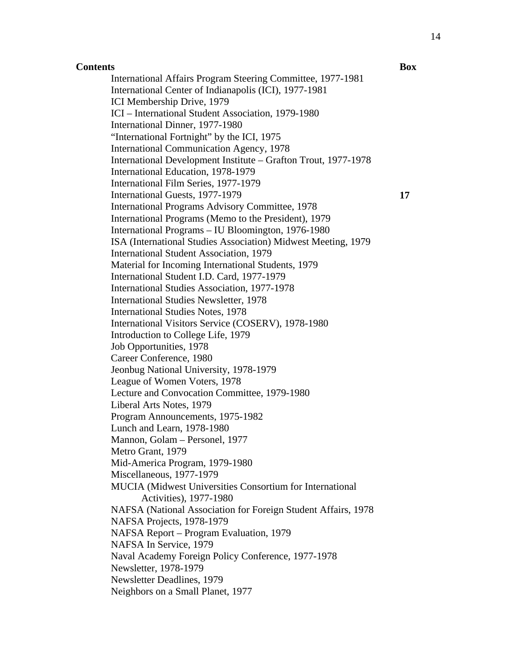International Affairs Program Steering Committee, 1977-1981 International Center of Indianapolis (ICI), 1977-1981 ICI Membership Drive, 1979 ICI – International Student Association, 1979-1980 International Dinner, 1977-1980 "International Fortnight" by the ICI, 1975 International Communication Agency, 1978 International Development Institute – Grafton Trout, 1977-1978 International Education, 1978-1979 International Film Series, 1977-1979 International Guests, 1977-1979 **17**  International Programs Advisory Committee, 1978 International Programs (Memo to the President), 1979 International Programs – IU Bloomington, 1976-1980 ISA (International Studies Association) Midwest Meeting, 1979 International Student Association, 1979 Material for Incoming International Students, 1979 International Student I.D. Card, 1977-1979 International Studies Association, 1977-1978 International Studies Newsletter, 1978 International Studies Notes, 1978 International Visitors Service (COSERV), 1978-1980 Introduction to College Life, 1979 Job Opportunities, 1978 Career Conference, 1980 Jeonbug National University, 1978-1979 League of Women Voters, 1978 Lecture and Convocation Committee, 1979-1980 Liberal Arts Notes, 1979 Program Announcements, 1975-1982 Lunch and Learn, 1978-1980 Mannon, Golam – Personel, 1977 Metro Grant, 1979 Mid-America Program, 1979-1980 Miscellaneous, 1977-1979 MUCIA (Midwest Universities Consortium for International Activities), 1977-1980 NAFSA (National Association for Foreign Student Affairs, 1978 NAFSA Projects, 1978-1979 NAFSA Report – Program Evaluation, 1979 NAFSA In Service, 1979 Naval Academy Foreign Policy Conference, 1977-1978 Newsletter, 1978-1979 Newsletter Deadlines, 1979 Neighbors on a Small Planet, 1977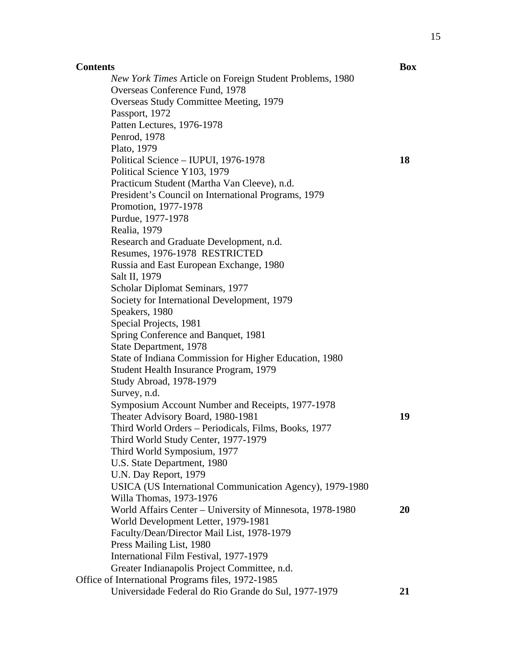**Contents** Box *New York Times* Article on Foreign Student Problems, 1980 Overseas Conference Fund, 1978 Overseas Study Committee Meeting, 1979 Passport, 1972 Patten Lectures, 1976-1978 Penrod, 1978 Plato, 1979 Political Science – IUPUI, 1976-1978 **18**  Political Science Y103, 1979 Practicum Student (Martha Van Cleeve), n.d. President's Council on International Programs, 1979 Promotion, 1977-1978 Purdue, 1977-1978 Realia, 1979 Research and Graduate Development, n.d. Resumes, 1976-1978 RESTRICTED Russia and East European Exchange, 1980 Salt II, 1979 Scholar Diplomat Seminars, 1977 Society for International Development, 1979 Speakers, 1980 Special Projects, 1981 Spring Conference and Banquet, 1981 State Department, 1978 State of Indiana Commission for Higher Education, 1980 Student Health Insurance Program, 1979 Study Abroad, 1978-1979 Survey, n.d. Symposium Account Number and Receipts, 1977-1978 Theater Advisory Board, 1980-1981 **19**  Third World Orders – Periodicals, Films, Books, 1977 Third World Study Center, 1977-1979 Third World Symposium, 1977 U.S. State Department, 1980 U.N. Day Report, 1979 USICA (US International Communication Agency), 1979-1980 Willa Thomas, 1973-1976 World Affairs Center – University of Minnesota, 1978-1980 **20**  World Development Letter, 1979-1981 Faculty/Dean/Director Mail List, 1978-1979 Press Mailing List, 1980 International Film Festival, 1977-1979 Greater Indianapolis Project Committee, n.d. Office of International Programs files, 1972-1985 Universidade Federal do Rio Grande do Sul, 1977-1979 **21**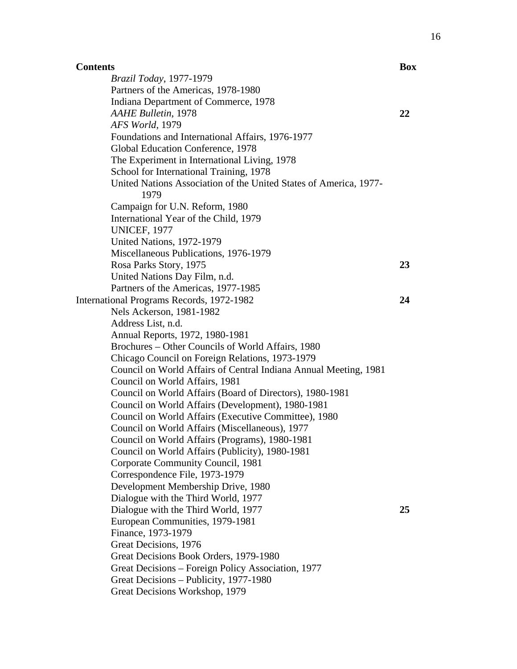**Contents** Box *Brazil Today*, 1977-1979 Partners of the Americas, 1978-1980 Indiana Department of Commerce, 1978 *AAHE Bulletin*, 1978 **22**  *AFS World*, 1979 Foundations and International Affairs, 1976-1977 Global Education Conference, 1978 The Experiment in International Living, 1978 School for International Training, 1978 United Nations Association of the United States of America, 1977- 1979 Campaign for U.N. Reform, 1980 International Year of the Child, 1979 UNICEF, 1977 United Nations, 1972-1979 Miscellaneous Publications, 1976-1979 Rosa Parks Story, 1975 **23**  United Nations Day Film, n.d. Partners of the Americas, 1977-1985 International Programs Records, 1972-1982 **24**  Nels Ackerson, 1981-1982 Address List, n.d. Annual Reports, 1972, 1980-1981 Brochures – Other Councils of World Affairs, 1980 Chicago Council on Foreign Relations, 1973-1979 Council on World Affairs of Central Indiana Annual Meeting, 1981 Council on World Affairs, 1981 Council on World Affairs (Board of Directors), 1980-1981 Council on World Affairs (Development), 1980-1981 Council on World Affairs (Executive Committee), 1980 Council on World Affairs (Miscellaneous), 1977 Council on World Affairs (Programs), 1980-1981 Council on World Affairs (Publicity), 1980-1981 Corporate Community Council, 1981 Correspondence File, 1973-1979 Development Membership Drive, 1980 Dialogue with the Third World, 1977 Dialogue with the Third World, 1977 **25**  European Communities, 1979-1981 Finance, 1973-1979 Great Decisions, 1976 Great Decisions Book Orders, 1979-1980 Great Decisions – Foreign Policy Association, 1977 Great Decisions – Publicity, 1977-1980 Great Decisions Workshop, 1979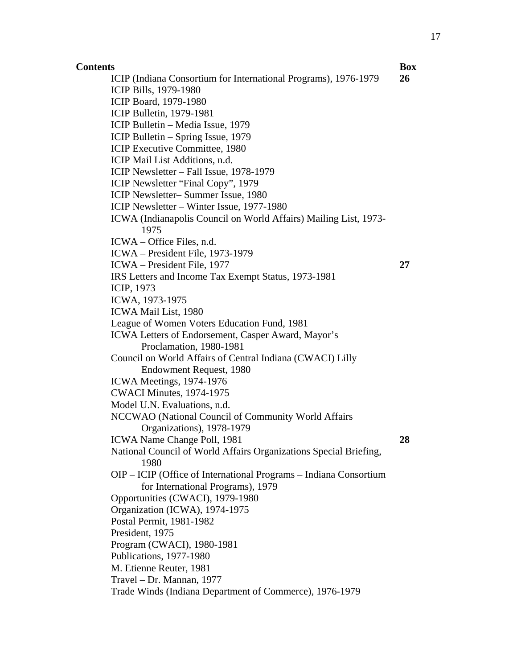**Contents** Box ICIP (Indiana Consortium for International Programs), 1976-1979 **26**  ICIP Bills, 1979-1980 ICIP Board, 1979-1980 ICIP Bulletin, 1979-1981 ICIP Bulletin – Media Issue, 1979 ICIP Bulletin – Spring Issue, 1979 ICIP Executive Committee, 1980 ICIP Mail List Additions, n.d. ICIP Newsletter – Fall Issue, 1978-1979 ICIP Newsletter "Final Copy", 1979 ICIP Newsletter– Summer Issue, 1980 ICIP Newsletter – Winter Issue, 1977-1980 ICWA (Indianapolis Council on World Affairs) Mailing List, 1973- 1975 ICWA – Office Files, n.d. ICWA – President File, 1973-1979 ICWA – President File, 1977 **27**  IRS Letters and Income Tax Exempt Status, 1973-1981 ICIP, 1973 ICWA, 1973-1975 ICWA Mail List, 1980 League of Women Voters Education Fund, 1981 ICWA Letters of Endorsement, Casper Award, Mayor's Proclamation, 1980-1981 Council on World Affairs of Central Indiana (CWACI) Lilly Endowment Request, 1980 ICWA Meetings, 1974-1976 CWACI Minutes, 1974-1975 Model U.N. Evaluations, n.d. NCCWAO (National Council of Community World Affairs Organizations), 1978-1979 ICWA Name Change Poll, 1981 **28**  National Council of World Affairs Organizations Special Briefing, 1980 OIP – ICIP (Office of International Programs – Indiana Consortium for International Programs), 1979 Opportunities (CWACI), 1979-1980 Organization (ICWA), 1974-1975 Postal Permit, 1981-1982 President, 1975 Program (CWACI), 1980-1981 Publications, 1977-1980 M. Etienne Reuter, 1981 Travel – Dr. Mannan, 1977 Trade Winds (Indiana Department of Commerce), 1976-1979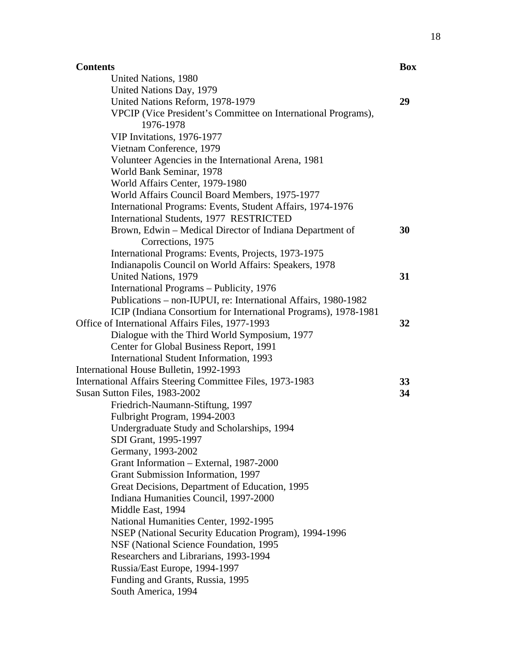| <b>Contents</b>                                                               | Box |
|-------------------------------------------------------------------------------|-----|
| United Nations, 1980                                                          |     |
| United Nations Day, 1979                                                      |     |
| United Nations Reform, 1978-1979                                              | 29  |
| VPCIP (Vice President's Committee on International Programs),<br>1976-1978    |     |
| VIP Invitations, 1976-1977                                                    |     |
| Vietnam Conference, 1979                                                      |     |
| Volunteer Agencies in the International Arena, 1981                           |     |
| World Bank Seminar, 1978                                                      |     |
| World Affairs Center, 1979-1980                                               |     |
| World Affairs Council Board Members, 1975-1977                                |     |
| International Programs: Events, Student Affairs, 1974-1976                    |     |
| International Students, 1977 RESTRICTED                                       |     |
| Brown, Edwin – Medical Director of Indiana Department of<br>Corrections, 1975 | 30  |
| International Programs: Events, Projects, 1973-1975                           |     |
| Indianapolis Council on World Affairs: Speakers, 1978                         |     |
| United Nations, 1979                                                          | 31  |
| International Programs - Publicity, 1976                                      |     |
| Publications - non-IUPUI, re: International Affairs, 1980-1982                |     |
| ICIP (Indiana Consortium for International Programs), 1978-1981               |     |
| Office of International Affairs Files, 1977-1993                              | 32  |
| Dialogue with the Third World Symposium, 1977                                 |     |
| Center for Global Business Report, 1991                                       |     |
| International Student Information, 1993                                       |     |
| International House Bulletin, 1992-1993                                       |     |
| International Affairs Steering Committee Files, 1973-1983                     | 33  |
| Susan Sutton Files, 1983-2002                                                 | 34  |
| Friedrich-Naumann-Stiftung, 1997                                              |     |
| Fulbright Program, 1994-2003                                                  |     |
| Undergraduate Study and Scholarships, 1994                                    |     |
| SDI Grant, 1995-1997                                                          |     |
| Germany, 1993-2002                                                            |     |
| Grant Information - External, 1987-2000                                       |     |
| Grant Submission Information, 1997                                            |     |
| Great Decisions, Department of Education, 1995                                |     |
| Indiana Humanities Council, 1997-2000                                         |     |
| Middle East, 1994                                                             |     |
| National Humanities Center, 1992-1995                                         |     |
| NSEP (National Security Education Program), 1994-1996                         |     |
| NSF (National Science Foundation, 1995)                                       |     |
| Researchers and Librarians, 1993-1994                                         |     |
| Russia/East Europe, 1994-1997                                                 |     |
| Funding and Grants, Russia, 1995                                              |     |
| South America, 1994                                                           |     |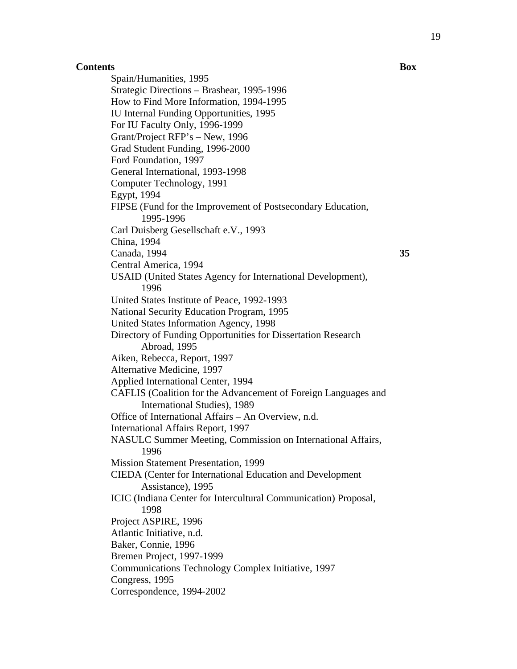**Contents** Box Spain/Humanities, 1995 Strategic Directions – Brashear, 1995-1996 How to Find More Information, 1994-1995 IU Internal Funding Opportunities, 1995 For IU Faculty Only, 1996-1999 Grant/Project RFP's – New, 1996 Grad Student Funding, 1996-2000 Ford Foundation, 1997 General International, 1993-1998 Computer Technology, 1991 Egypt, 1994 FIPSE (Fund for the Improvement of Postsecondary Education, 1995-1996 Carl Duisberg Gesellschaft e.V., 1993 China, 1994 Canada, 1994 **35**  Central America, 1994 USAID (United States Agency for International Development), 1996 United States Institute of Peace, 1992-1993 National Security Education Program, 1995 United States Information Agency, 1998 Directory of Funding Opportunities for Dissertation Research Abroad, 1995 Aiken, Rebecca, Report, 1997 Alternative Medicine, 1997 Applied International Center, 1994 CAFLIS (Coalition for the Advancement of Foreign Languages and International Studies), 1989 Office of International Affairs – An Overview, n.d. International Affairs Report, 1997 NASULC Summer Meeting, Commission on International Affairs, 1996 Mission Statement Presentation, 1999 CIEDA (Center for International Education and Development Assistance), 1995 ICIC (Indiana Center for Intercultural Communication) Proposal, 1998 Project ASPIRE, 1996 Atlantic Initiative, n.d. Baker, Connie, 1996 Bremen Project, 1997-1999 Communications Technology Complex Initiative, 1997 Congress, 1995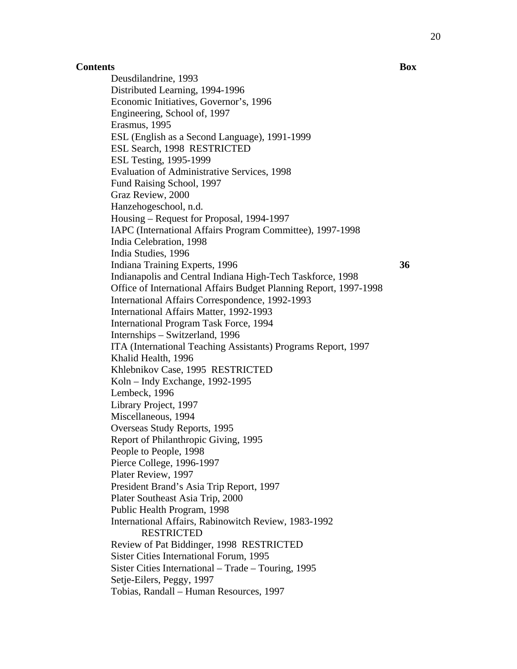Deusdilandrine, 1993 Distributed Learning, 1994-1996 Economic Initiatives, Governor's, 1996 Engineering, School of, 1997 Erasmus, 1995 ESL (English as a Second Language), 1991-1999 ESL Search, 1998 RESTRICTED ESL Testing, 1995-1999 Evaluation of Administrative Services, 1998 Fund Raising School, 1997 Graz Review, 2000 Hanzehogeschool, n.d. Housing – Request for Proposal, 1994-1997 IAPC (International Affairs Program Committee), 1997-1998 India Celebration, 1998 India Studies, 1996 Indiana Training Experts, 1996 **36**  Indianapolis and Central Indiana High-Tech Taskforce, 1998 Office of International Affairs Budget Planning Report, 1997-1998 International Affairs Correspondence, 1992-1993 International Affairs Matter, 1992-1993 International Program Task Force, 1994 Internships – Switzerland, 1996 ITA (International Teaching Assistants) Programs Report, 1997 Khalid Health, 1996 Khlebnikov Case, 1995 RESTRICTED Koln – Indy Exchange, 1992-1995 Lembeck, 1996 Library Project, 1997 Miscellaneous, 1994 Overseas Study Reports, 1995 Report of Philanthropic Giving, 1995 People to People, 1998 Pierce College, 1996-1997 Plater Review, 1997 President Brand's Asia Trip Report, 1997 Plater Southeast Asia Trip, 2000 Public Health Program, 1998 International Affairs, Rabinowitch Review, 1983-1992 RESTRICTED Review of Pat Biddinger, 1998 RESTRICTED Sister Cities International Forum, 1995 Sister Cities International – Trade – Touring, 1995 Setje-Eilers, Peggy, 1997 Tobias, Randall – Human Resources, 1997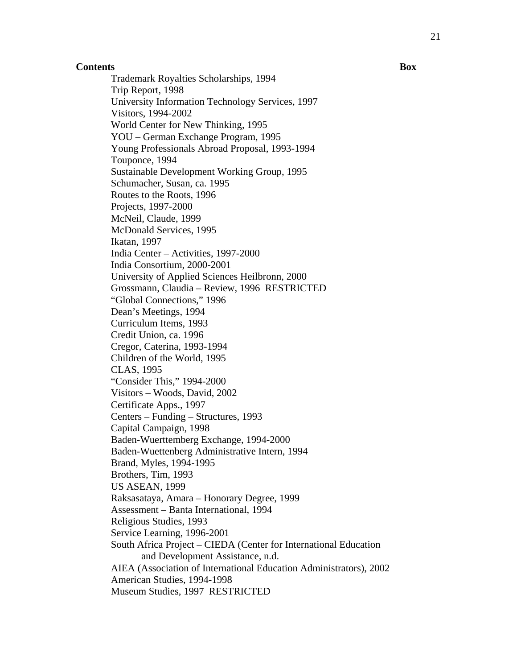Trademark Royalties Scholarships, 1994 Trip Report, 1998 University Information Technology Services, 1997 Visitors, 1994-2002 World Center for New Thinking, 1995 YOU – German Exchange Program, 1995 Young Professionals Abroad Proposal, 1993-1994 Touponce, 1994 Sustainable Development Working Group, 1995 Schumacher, Susan, ca. 1995 Routes to the Roots, 1996 Projects, 1997-2000 McNeil, Claude, 1999 McDonald Services, 1995 Ikatan, 1997 India Center – Activities, 1997-2000 India Consortium, 2000-2001 University of Applied Sciences Heilbronn, 2000 Grossmann, Claudia – Review, 1996 RESTRICTED "Global Connections," 1996 Dean's Meetings, 1994 Curriculum Items, 1993 Credit Union, ca. 1996 Cregor, Caterina, 1993-1994 Children of the World, 1995 CLAS, 1995 "Consider This," 1994-2000 Visitors – Woods, David, 2002 Certificate Apps., 1997 Centers – Funding – Structures, 1993 Capital Campaign, 1998 Baden-Wuerttemberg Exchange, 1994-2000 Baden-Wuettenberg Administrative Intern, 1994 Brand, Myles, 1994-1995 Brothers, Tim, 1993 US ASEAN, 1999 Raksasataya, Amara – Honorary Degree, 1999 Assessment – Banta International, 1994 Religious Studies, 1993 Service Learning, 1996-2001 South Africa Project – CIEDA (Center for International Education and Development Assistance, n.d. AIEA (Association of International Education Administrators), 2002 American Studies, 1994-1998 Museum Studies, 1997 RESTRICTED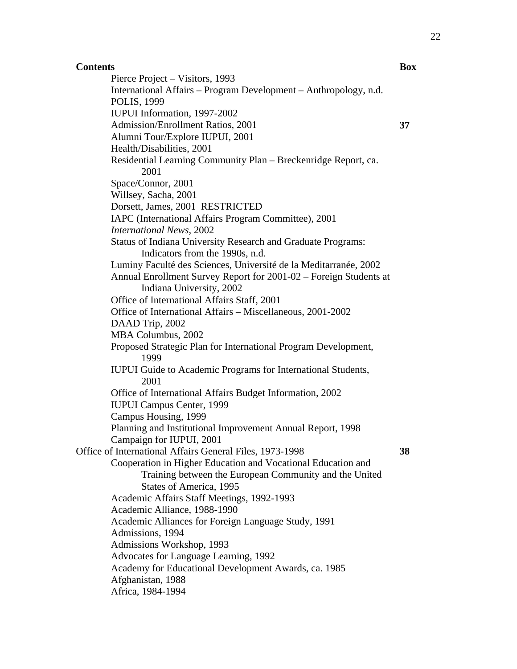**Contents** Box Pierce Project – Visitors, 1993 International Affairs – Program Development – Anthropology, n.d. POLIS, 1999 IUPUI Information, 1997-2002 Admission/Enrollment Ratios, 2001 **37**  Alumni Tour/Explore IUPUI, 2001 Health/Disabilities, 2001 Residential Learning Community Plan – Breckenridge Report, ca. 2001 Space/Connor, 2001 Willsey, Sacha, 2001 Dorsett, James, 2001 RESTRICTED IAPC (International Affairs Program Committee), 2001 *International News*, 2002 Status of Indiana University Research and Graduate Programs: Indicators from the 1990s, n.d. Luminy Faculté des Sciences, Université de la Meditarranée, 2002 Annual Enrollment Survey Report for 2001-02 – Foreign Students at Indiana University, 2002 Office of International Affairs Staff, 2001 Office of International Affairs – Miscellaneous, 2001-2002 DAAD Trip, 2002 MBA Columbus, 2002 Proposed Strategic Plan for International Program Development, 1999 IUPUI Guide to Academic Programs for International Students, 2001 Office of International Affairs Budget Information, 2002 IUPUI Campus Center, 1999 Campus Housing, 1999 Planning and Institutional Improvement Annual Report, 1998 Campaign for IUPUI, 2001 Office of International Affairs General Files, 1973-1998 **38**  Cooperation in Higher Education and Vocational Education and Training between the European Community and the United States of America, 1995 Academic Affairs Staff Meetings, 1992-1993 Academic Alliance, 1988-1990 Academic Alliances for Foreign Language Study, 1991 Admissions, 1994 Admissions Workshop, 1993 Advocates for Language Learning, 1992 Academy for Educational Development Awards, ca. 1985 Afghanistan, 1988 Africa, 1984-1994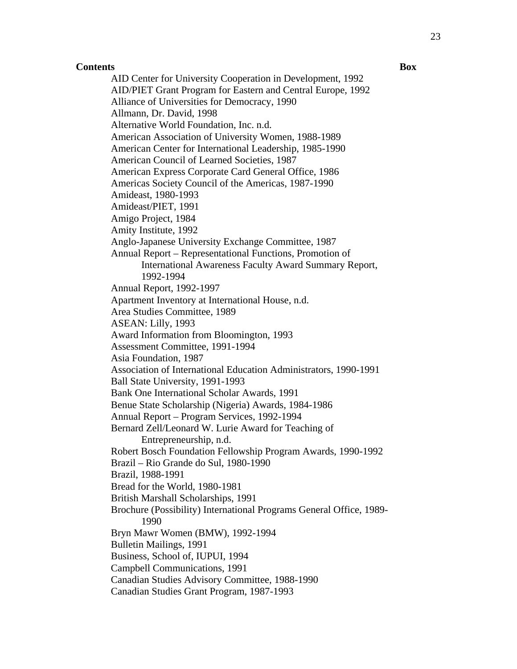AID Center for University Cooperation in Development, 1992 AID/PIET Grant Program for Eastern and Central Europe, 1992 Alliance of Universities for Democracy, 1990 Allmann, Dr. David, 1998 Alternative World Foundation, Inc. n.d. American Association of University Women, 1988-1989 American Center for International Leadership, 1985-1990 American Council of Learned Societies, 1987 American Express Corporate Card General Office, 1986 Americas Society Council of the Americas, 1987-1990 Amideast, 1980-1993 Amideast/PIET, 1991 Amigo Project, 1984 Amity Institute, 1992 Anglo-Japanese University Exchange Committee, 1987 Annual Report – Representational Functions, Promotion of International Awareness Faculty Award Summary Report, 1992-1994 Annual Report, 1992-1997 Apartment Inventory at International House, n.d. Area Studies Committee, 1989 ASEAN: Lilly, 1993 Award Information from Bloomington, 1993 Assessment Committee, 1991-1994 Asia Foundation, 1987 Association of International Education Administrators, 1990-1991 Ball State University, 1991-1993 Bank One International Scholar Awards, 1991 Benue State Scholarship (Nigeria) Awards, 1984-1986 Annual Report – Program Services, 1992-1994 Bernard Zell/Leonard W. Lurie Award for Teaching of Entrepreneurship, n.d. Robert Bosch Foundation Fellowship Program Awards, 1990-1992 Brazil – Rio Grande do Sul, 1980-1990 Brazil, 1988-1991 Bread for the World, 1980-1981 British Marshall Scholarships, 1991 Brochure (Possibility) International Programs General Office, 1989- 1990 Bryn Mawr Women (BMW), 1992-1994 Bulletin Mailings, 1991 Business, School of, IUPUI, 1994 Campbell Communications, 1991 Canadian Studies Advisory Committee, 1988-1990 Canadian Studies Grant Program, 1987-1993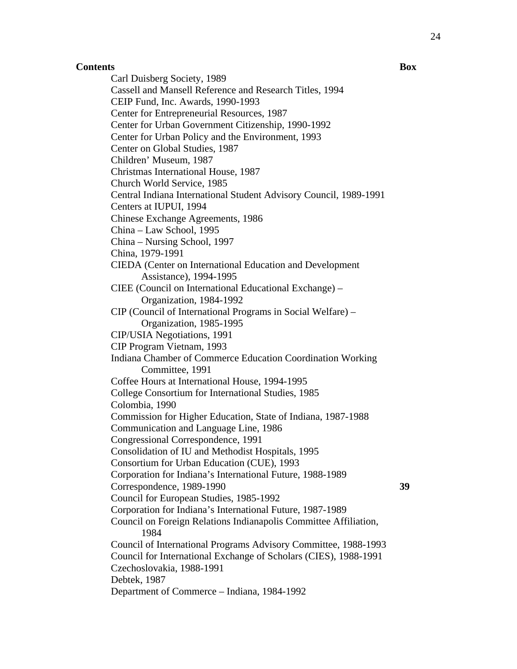**Contents** Box Carl Duisberg Society, 1989 Cassell and Mansell Reference and Research Titles, 1994 CEIP Fund, Inc. Awards, 1990-1993 Center for Entrepreneurial Resources, 1987 Center for Urban Government Citizenship, 1990-1992 Center for Urban Policy and the Environment, 1993 Center on Global Studies, 1987 Children' Museum, 1987 Christmas International House, 1987 Church World Service, 1985 Central Indiana International Student Advisory Council, 1989-1991 Centers at IUPUI, 1994 Chinese Exchange Agreements, 1986 China – Law School, 1995 China – Nursing School, 1997 China, 1979-1991 CIEDA (Center on International Education and Development Assistance), 1994-1995 CIEE (Council on International Educational Exchange) – Organization, 1984-1992 CIP (Council of International Programs in Social Welfare) – Organization, 1985-1995 CIP/USIA Negotiations, 1991 CIP Program Vietnam, 1993 Indiana Chamber of Commerce Education Coordination Working Committee, 1991 Coffee Hours at International House, 1994-1995 College Consortium for International Studies, 1985 Colombia, 1990 Commission for Higher Education, State of Indiana, 1987-1988 Communication and Language Line, 1986 Congressional Correspondence, 1991 Consolidation of IU and Methodist Hospitals, 1995 Consortium for Urban Education (CUE), 1993 Corporation for Indiana's International Future, 1988-1989 Correspondence, 1989-1990 **39**  Council for European Studies, 1985-1992 Corporation for Indiana's International Future, 1987-1989 Council on Foreign Relations Indianapolis Committee Affiliation, 1984 Council of International Programs Advisory Committee, 1988-1993 Council for International Exchange of Scholars (CIES), 1988-1991 Czechoslovakia, 1988-1991 Debtek, 1987

Department of Commerce – Indiana, 1984-1992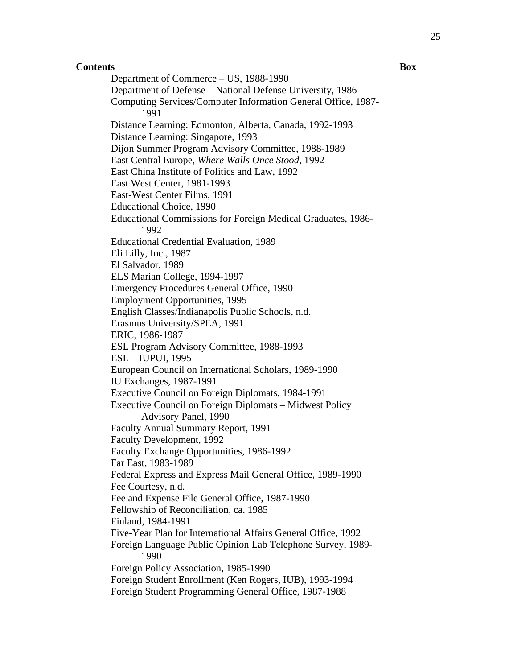Department of Commerce – US, 1988-1990 Department of Defense – National Defense University, 1986 Computing Services/Computer Information General Office, 1987- 1991 Distance Learning: Edmonton, Alberta, Canada, 1992-1993 Distance Learning: Singapore, 1993 Dijon Summer Program Advisory Committee, 1988-1989 East Central Europe, *Where Walls Once Stood*, 1992 East China Institute of Politics and Law, 1992 East West Center, 1981-1993 East-West Center Films, 1991 Educational Choice, 1990 Educational Commissions for Foreign Medical Graduates, 1986- 1992 Educational Credential Evaluation, 1989 Eli Lilly, Inc., 1987 El Salvador, 1989 ELS Marian College, 1994-1997 Emergency Procedures General Office, 1990 Employment Opportunities, 1995 English Classes/Indianapolis Public Schools, n.d. Erasmus University/SPEA, 1991 ERIC, 1986-1987 ESL Program Advisory Committee, 1988-1993 ESL – IUPUI, 1995 European Council on International Scholars, 1989-1990 IU Exchanges, 1987-1991 Executive Council on Foreign Diplomats, 1984-1991 Executive Council on Foreign Diplomats – Midwest Policy Advisory Panel, 1990 Faculty Annual Summary Report, 1991 Faculty Development, 1992 Faculty Exchange Opportunities, 1986-1992 Far East, 1983-1989 Federal Express and Express Mail General Office, 1989-1990 Fee Courtesy, n.d. Fee and Expense File General Office, 1987-1990 Fellowship of Reconciliation, ca. 1985 Finland, 1984-1991 Five-Year Plan for International Affairs General Office, 1992 Foreign Language Public Opinion Lab Telephone Survey, 1989- 1990 Foreign Policy Association, 1985-1990 Foreign Student Enrollment (Ken Rogers, IUB), 1993-1994 Foreign Student Programming General Office, 1987-1988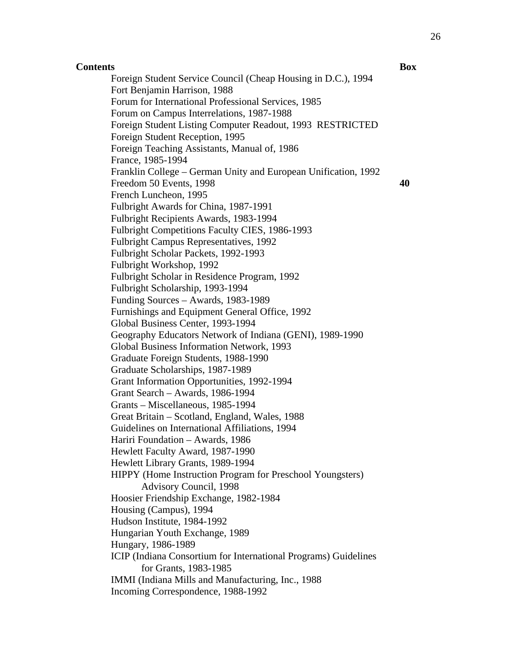Foreign Student Service Council (Cheap Housing in D.C.), 1994 Fort Benjamin Harrison, 1988 Forum for International Professional Services, 1985 Forum on Campus Interrelations, 1987-1988 Foreign Student Listing Computer Readout, 1993 RESTRICTED Foreign Student Reception, 1995 Foreign Teaching Assistants, Manual of, 1986 France, 1985-1994 Franklin College – German Unity and European Unification, 1992 Freedom 50 Events, 1998 **40**  French Luncheon, 1995 Fulbright Awards for China, 1987-1991 Fulbright Recipients Awards, 1983-1994 Fulbright Competitions Faculty CIES, 1986-1993 Fulbright Campus Representatives, 1992 Fulbright Scholar Packets, 1992-1993 Fulbright Workshop, 1992 Fulbright Scholar in Residence Program, 1992 Fulbright Scholarship, 1993-1994 Funding Sources – Awards, 1983-1989 Furnishings and Equipment General Office, 1992 Global Business Center, 1993-1994 Geography Educators Network of Indiana (GENI), 1989-1990 Global Business Information Network, 1993 Graduate Foreign Students, 1988-1990 Graduate Scholarships, 1987-1989 Grant Information Opportunities, 1992-1994 Grant Search – Awards, 1986-1994 Grants – Miscellaneous, 1985-1994 Great Britain – Scotland, England, Wales, 1988 Guidelines on International Affiliations, 1994 Hariri Foundation – Awards, 1986 Hewlett Faculty Award, 1987-1990 Hewlett Library Grants, 1989-1994 HIPPY (Home Instruction Program for Preschool Youngsters) Advisory Council, 1998 Hoosier Friendship Exchange, 1982-1984 Housing (Campus), 1994 Hudson Institute, 1984-1992 Hungarian Youth Exchange, 1989 Hungary, 1986-1989 ICIP (Indiana Consortium for International Programs) Guidelines for Grants, 1983-1985 IMMI (Indiana Mills and Manufacturing, Inc., 1988 Incoming Correspondence, 1988-1992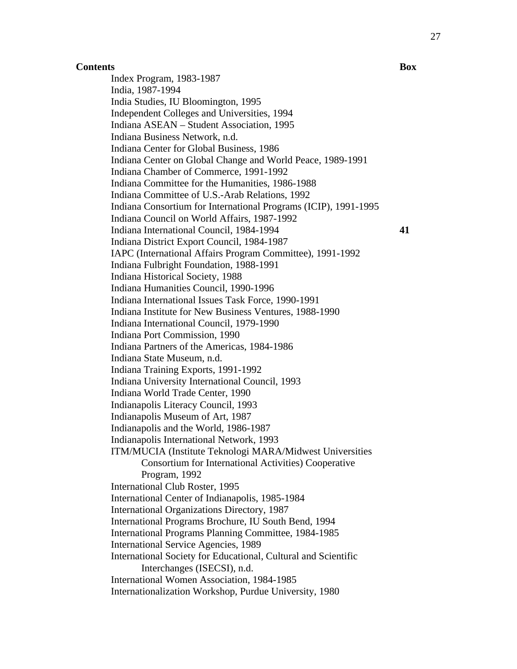Index Program, 1983-1987 India, 1987-1994 India Studies, IU Bloomington, 1995 Independent Colleges and Universities, 1994 Indiana ASEAN – Student Association, 1995 Indiana Business Network, n.d. Indiana Center for Global Business, 1986 Indiana Center on Global Change and World Peace, 1989-1991 Indiana Chamber of Commerce, 1991-1992 Indiana Committee for the Humanities, 1986-1988 Indiana Committee of U.S.-Arab Relations, 1992 Indiana Consortium for International Programs (ICIP), 1991-1995 Indiana Council on World Affairs, 1987-1992 Indiana International Council, 1984-1994 **41**  Indiana District Export Council, 1984-1987 IAPC (International Affairs Program Committee), 1991-1992 Indiana Fulbright Foundation, 1988-1991 Indiana Historical Society, 1988 Indiana Humanities Council, 1990-1996 Indiana International Issues Task Force, 1990-1991 Indiana Institute for New Business Ventures, 1988-1990 Indiana International Council, 1979-1990 Indiana Port Commission, 1990 Indiana Partners of the Americas, 1984-1986 Indiana State Museum, n.d. Indiana Training Exports, 1991-1992 Indiana University International Council, 1993 Indiana World Trade Center, 1990 Indianapolis Literacy Council, 1993 Indianapolis Museum of Art, 1987 Indianapolis and the World, 1986-1987 Indianapolis International Network, 1993 ITM/MUCIA (Institute Teknologi MARA/Midwest Universities Consortium for International Activities) Cooperative Program, 1992 International Club Roster, 1995 International Center of Indianapolis, 1985-1984 International Organizations Directory, 1987 International Programs Brochure, IU South Bend, 1994 International Programs Planning Committee, 1984-1985 International Service Agencies, 1989 International Society for Educational, Cultural and Scientific Interchanges (ISECSI), n.d. International Women Association, 1984-1985 Internationalization Workshop, Purdue University, 1980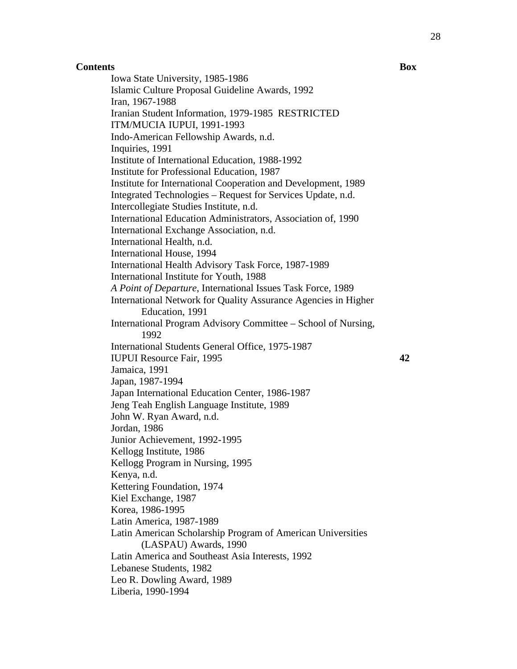Iowa State University, 1985-1986 Islamic Culture Proposal Guideline Awards, 1992 Iran, 1967-1988 Iranian Student Information, 1979-1985 RESTRICTED ITM/MUCIA IUPUI, 1991-1993 Indo-American Fellowship Awards, n.d. Inquiries, 1991 Institute of International Education, 1988-1992 Institute for Professional Education, 1987 Institute for International Cooperation and Development, 1989 Integrated Technologies – Request for Services Update, n.d. Intercollegiate Studies Institute, n.d. International Education Administrators, Association of, 1990 International Exchange Association, n.d. International Health, n.d. International House, 1994 International Health Advisory Task Force, 1987-1989 International Institute for Youth, 1988 *A Point of Departure*, International Issues Task Force, 1989 International Network for Quality Assurance Agencies in Higher Education, 1991 International Program Advisory Committee – School of Nursing, 1992 International Students General Office, 1975-1987 IUPUI Resource Fair, 1995 **42**  Jamaica, 1991 Japan, 1987-1994 Japan International Education Center, 1986-1987 Jeng Teah English Language Institute, 1989 John W. Ryan Award, n.d. Jordan, 1986 Junior Achievement, 1992-1995 Kellogg Institute, 1986 Kellogg Program in Nursing, 1995 Kenya, n.d. Kettering Foundation, 1974 Kiel Exchange, 1987 Korea, 1986-1995 Latin America, 1987-1989 Latin American Scholarship Program of American Universities (LASPAU) Awards, 1990 Latin America and Southeast Asia Interests, 1992 Lebanese Students, 1982 Leo R. Dowling Award, 1989 Liberia, 1990-1994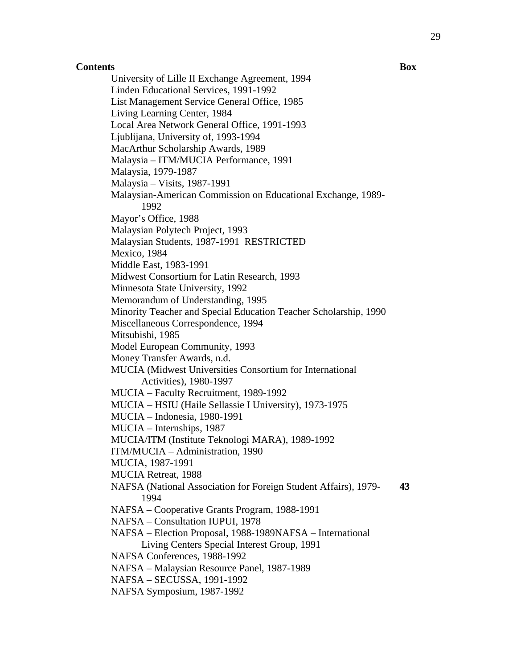**Contents** Box University of Lille II Exchange Agreement, 1994 Linden Educational Services, 1991-1992 List Management Service General Office, 1985 Living Learning Center, 1984 Local Area Network General Office, 1991-1993 Ljublijana, University of, 1993-1994 MacArthur Scholarship Awards, 1989 Malaysia – ITM/MUCIA Performance, 1991 Malaysia, 1979-1987 Malaysia – Visits, 1987-1991 Malaysian-American Commission on Educational Exchange, 1989- 1992 Mayor's Office, 1988 Malaysian Polytech Project, 1993 Malaysian Students, 1987-1991 RESTRICTED Mexico, 1984 Middle East, 1983-1991 Midwest Consortium for Latin Research, 1993 Minnesota State University, 1992 Memorandum of Understanding, 1995 Minority Teacher and Special Education Teacher Scholarship, 1990 Miscellaneous Correspondence, 1994 Mitsubishi, 1985 Model European Community, 1993 Money Transfer Awards, n.d. MUCIA (Midwest Universities Consortium for International Activities), 1980-1997 MUCIA – Faculty Recruitment, 1989-1992 MUCIA – HSIU (Haile Sellassie I University), 1973-1975 MUCIA – Indonesia, 1980-1991 MUCIA – Internships, 1987 MUCIA/ITM (Institute Teknologi MARA), 1989-1992 ITM/MUCIA – Administration, 1990 MUCIA, 1987-1991 MUCIA Retreat, 1988 NAFSA (National Association for Foreign Student Affairs), 1979- 1994 **43**  NAFSA – Cooperative Grants Program, 1988-1991 NAFSA – Consultation IUPUI, 1978 NAFSA – Election Proposal, 1988-1989NAFSA – International Living Centers Special Interest Group, 1991 NAFSA Conferences, 1988-1992 NAFSA – Malaysian Resource Panel, 1987-1989 NAFSA – SECUSSA, 1991-1992

NAFSA Symposium, 1987-1992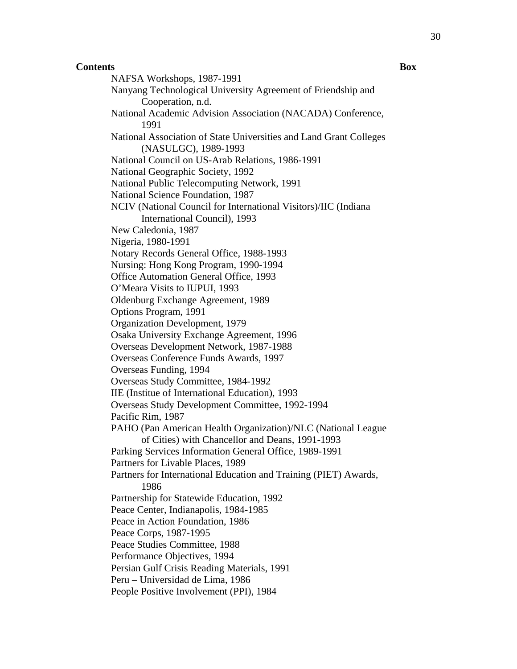NAFSA Workshops, 1987-1991 Nanyang Technological University Agreement of Friendship and Cooperation, n.d. National Academic Advision Association (NACADA) Conference, 1991 National Association of State Universities and Land Grant Colleges (NASULGC), 1989-1993 National Council on US-Arab Relations, 1986-1991 National Geographic Society, 1992 National Public Telecomputing Network, 1991 National Science Foundation, 1987 NCIV (National Council for International Visitors)/IIC (Indiana International Council), 1993 New Caledonia, 1987 Nigeria, 1980-1991 Notary Records General Office, 1988-1993 Nursing: Hong Kong Program, 1990-1994 Office Automation General Office, 1993 O'Meara Visits to IUPUI, 1993 Oldenburg Exchange Agreement, 1989 Options Program, 1991 Organization Development, 1979 Osaka University Exchange Agreement, 1996 Overseas Development Network, 1987-1988 Overseas Conference Funds Awards, 1997 Overseas Funding, 1994 Overseas Study Committee, 1984-1992 IIE (Institue of International Education), 1993 Overseas Study Development Committee, 1992-1994 Pacific Rim, 1987 PAHO (Pan American Health Organization)/NLC (National League of Cities) with Chancellor and Deans, 1991-1993 Parking Services Information General Office, 1989-1991 Partners for Livable Places, 1989 Partners for International Education and Training (PIET) Awards, 1986 Partnership for Statewide Education, 1992 Peace Center, Indianapolis, 1984-1985 Peace in Action Foundation, 1986 Peace Corps, 1987-1995 Peace Studies Committee, 1988 Performance Objectives, 1994 Persian Gulf Crisis Reading Materials, 1991 Peru – Universidad de Lima, 1986 People Positive Involvement (PPI), 1984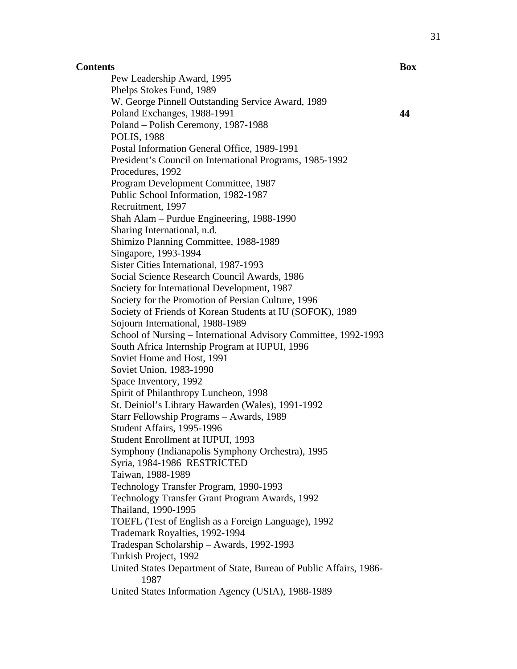Pew Leadership Award, 1995 Phelps Stokes Fund, 1989 W. George Pinnell Outstanding Service Award, 1989 Poland Exchanges, 1988-1991 **44**  Poland – Polish Ceremony, 1987-1988 POLIS, 1988 Postal Information General Office, 1989-1991 President's Council on International Programs, 1985-1992 Procedures, 1992 Program Development Committee, 1987 Public School Information, 1982-1987 Recruitment, 1997 Shah Alam – Purdue Engineering, 1988-1990 Sharing International, n.d. Shimizo Planning Committee, 1988-1989 Singapore, 1993-1994 Sister Cities International, 1987-1993 Social Science Research Council Awards, 1986 Society for International Development, 1987 Society for the Promotion of Persian Culture, 1996 Society of Friends of Korean Students at IU (SOFOK), 1989 Sojourn International, 1988-1989 School of Nursing – International Advisory Committee, 1992-1993 South Africa Internship Program at IUPUI, 1996 Soviet Home and Host, 1991 Soviet Union, 1983-1990 Space Inventory, 1992 Spirit of Philanthropy Luncheon, 1998 St. Deiniol's Library Hawarden (Wales), 1991-1992 Starr Fellowship Programs – Awards, 1989 Student Affairs, 1995-1996 Student Enrollment at IUPUI, 1993 Symphony (Indianapolis Symphony Orchestra), 1995 Syria, 1984-1986 RESTRICTED Taiwan, 1988-1989 Technology Transfer Program, 1990-1993 Technology Transfer Grant Program Awards, 1992 Thailand, 1990-1995 TOEFL (Test of English as a Foreign Language), 1992 Trademark Royalties, 1992-1994 Tradespan Scholarship – Awards, 1992-1993 Turkish Project, 1992 United States Department of State, Bureau of Public Affairs, 1986- 1987 United States Information Agency (USIA), 1988-1989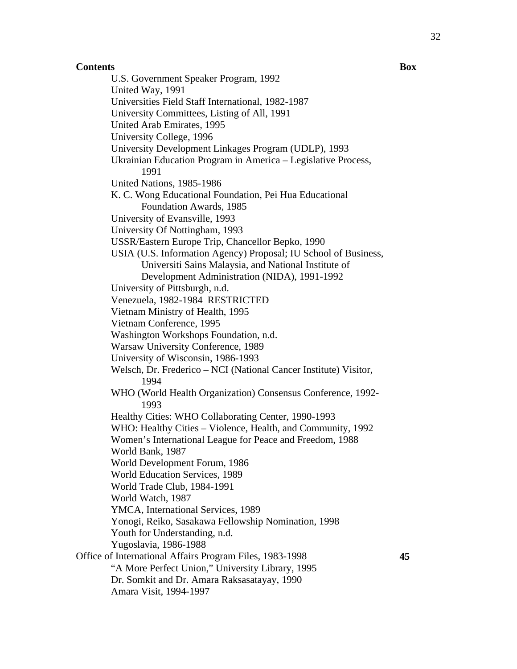**Contents** Box U.S. Government Speaker Program, 1992 United Way, 1991 Universities Field Staff International, 1982-1987 University Committees, Listing of All, 1991 United Arab Emirates, 1995 University College, 1996 University Development Linkages Program (UDLP), 1993 Ukrainian Education Program in America – Legislative Process, 1991 United Nations, 1985-1986 K. C. Wong Educational Foundation, Pei Hua Educational Foundation Awards, 1985 University of Evansville, 1993 University Of Nottingham, 1993 USSR/Eastern Europe Trip, Chancellor Bepko, 1990 USIA (U.S. Information Agency) Proposal; IU School of Business, Universiti Sains Malaysia, and National Institute of Development Administration (NIDA), 1991-1992 University of Pittsburgh, n.d. Venezuela, 1982-1984 RESTRICTED Vietnam Ministry of Health, 1995 Vietnam Conference, 1995 Washington Workshops Foundation, n.d. Warsaw University Conference, 1989 University of Wisconsin, 1986-1993 Welsch, Dr. Frederico – NCI (National Cancer Institute) Visitor, 1994 WHO (World Health Organization) Consensus Conference, 1992- 1993 Healthy Cities: WHO Collaborating Center, 1990-1993 WHO: Healthy Cities – Violence, Health, and Community, 1992 Women's International League for Peace and Freedom, 1988 World Bank, 1987 World Development Forum, 1986 World Education Services, 1989 World Trade Club, 1984-1991 World Watch, 1987 YMCA, International Services, 1989 Yonogi, Reiko, Sasakawa Fellowship Nomination, 1998 Youth for Understanding, n.d. Yugoslavia, 1986-1988 Office of International Affairs Program Files, 1983-1998 **45**  "A More Perfect Union," University Library, 1995 Dr. Somkit and Dr. Amara Raksasatayay, 1990 Amara Visit, 1994-1997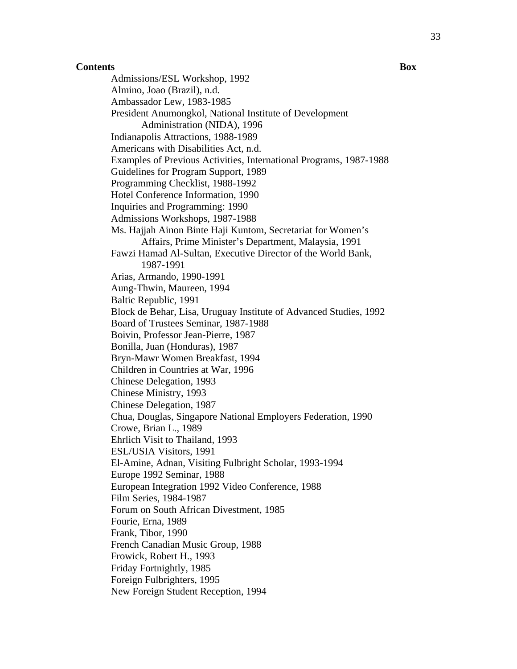Admissions/ESL Workshop, 1992 Almino, Joao (Brazil), n.d. Ambassador Lew, 1983-1985 President Anumongkol, National Institute of Development Administration (NIDA), 1996 Indianapolis Attractions, 1988-1989 Americans with Disabilities Act, n.d. Examples of Previous Activities, International Programs, 1987-1988 Guidelines for Program Support, 1989 Programming Checklist, 1988-1992 Hotel Conference Information, 1990 Inquiries and Programming: 1990 Admissions Workshops, 1987-1988 Ms. Hajjah Ainon Binte Haji Kuntom, Secretariat for Women's Affairs, Prime Minister's Department, Malaysia, 1991 Fawzi Hamad Al-Sultan, Executive Director of the World Bank, 1987-1991 Arias, Armando, 1990-1991 Aung-Thwin, Maureen, 1994 Baltic Republic, 1991 Block de Behar, Lisa, Uruguay Institute of Advanced Studies, 1992 Board of Trustees Seminar, 1987-1988 Boivin, Professor Jean-Pierre, 1987 Bonilla, Juan (Honduras), 1987 Bryn-Mawr Women Breakfast, 1994 Children in Countries at War, 1996 Chinese Delegation, 1993 Chinese Ministry, 1993 Chinese Delegation, 1987 Chua, Douglas, Singapore National Employers Federation, 1990 Crowe, Brian L., 1989 Ehrlich Visit to Thailand, 1993 ESL/USIA Visitors, 1991 El-Amine, Adnan, Visiting Fulbright Scholar, 1993-1994 Europe 1992 Seminar, 1988 European Integration 1992 Video Conference, 1988 Film Series, 1984-1987 Forum on South African Divestment, 1985 Fourie, Erna, 1989 Frank, Tibor, 1990 French Canadian Music Group, 1988 Frowick, Robert H., 1993 Friday Fortnightly, 1985 Foreign Fulbrighters, 1995 New Foreign Student Reception, 1994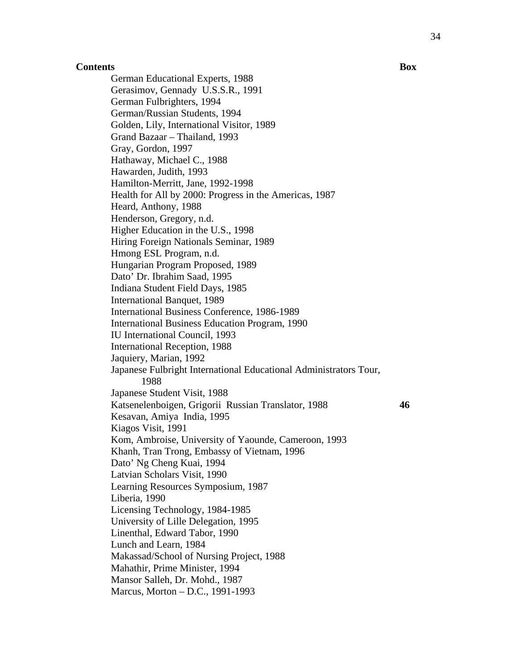German Educational Experts, 1988 Gerasimov, Gennady U.S.S.R., 1991 German Fulbrighters, 1994 German/Russian Students, 1994 Golden, Lily, International Visitor, 1989 Grand Bazaar – Thailand, 1993 Gray, Gordon, 1997 Hathaway, Michael C., 1988 Hawarden, Judith, 1993 Hamilton-Merritt, Jane, 1992-1998 Health for All by 2000: Progress in the Americas, 1987 Heard, Anthony, 1988 Henderson, Gregory, n.d. Higher Education in the U.S., 1998 Hiring Foreign Nationals Seminar, 1989 Hmong ESL Program, n.d. Hungarian Program Proposed, 1989 Dato' Dr. Ibrahim Saad, 1995 Indiana Student Field Days, 1985 International Banquet, 1989 International Business Conference, 1986-1989 International Business Education Program, 1990 IU International Council, 1993 International Reception, 1988 Jaquiery, Marian, 1992 Japanese Fulbright International Educational Administrators Tour, 1988 Japanese Student Visit, 1988 Katsenelenboigen, Grigorii Russian Translator, 1988 **46**  Kesavan, Amiya India, 1995 Kiagos Visit, 1991 Kom, Ambroise, University of Yaounde, Cameroon, 1993 Khanh, Tran Trong, Embassy of Vietnam, 1996 Dato' Ng Cheng Kuai, 1994 Latvian Scholars Visit, 1990 Learning Resources Symposium, 1987 Liberia, 1990 Licensing Technology, 1984-1985 University of Lille Delegation, 1995 Linenthal, Edward Tabor, 1990 Lunch and Learn, 1984 Makassad/School of Nursing Project, 1988 Mahathir, Prime Minister, 1994 Mansor Salleh, Dr. Mohd., 1987 Marcus, Morton – D.C., 1991-1993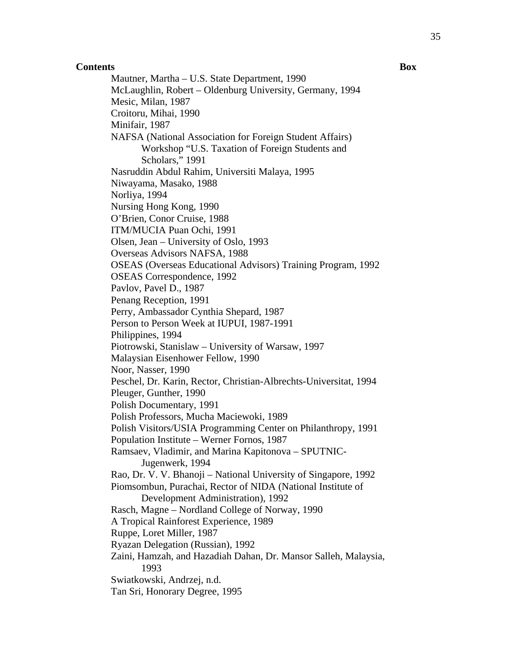**Contents** Box Mautner, Martha – U.S. State Department, 1990 McLaughlin, Robert – Oldenburg University, Germany, 1994 Mesic, Milan, 1987 Croitoru, Mihai, 1990 Minifair, 1987 NAFSA (National Association for Foreign Student Affairs) Workshop "U.S. Taxation of Foreign Students and Scholars," 1991 Nasruddin Abdul Rahim, Universiti Malaya, 1995 Niwayama, Masako, 1988 Norliya, 1994 Nursing Hong Kong, 1990 O'Brien, Conor Cruise, 1988 ITM/MUCIA Puan Ochi, 1991 Olsen, Jean – University of Oslo, 1993 Overseas Advisors NAFSA, 1988 OSEAS (Overseas Educational Advisors) Training Program, 1992 OSEAS Correspondence, 1992 Pavlov, Pavel D., 1987 Penang Reception, 1991 Perry, Ambassador Cynthia Shepard, 1987 Person to Person Week at IUPUI, 1987-1991 Philippines, 1994 Piotrowski, Stanislaw – University of Warsaw, 1997 Malaysian Eisenhower Fellow, 1990 Noor, Nasser, 1990 Peschel, Dr. Karin, Rector, Christian-Albrechts-Universitat, 1994 Pleuger, Gunther, 1990 Polish Documentary, 1991 Polish Professors, Mucha Maciewoki, 1989 Polish Visitors/USIA Programming Center on Philanthropy, 1991 Population Institute – Werner Fornos, 1987 Ramsaev, Vladimir, and Marina Kapitonova – SPUTNIC-Jugenwerk, 1994 Rao, Dr. V. V. Bhanoji – National University of Singapore, 1992 Piomsombun, Purachai, Rector of NIDA (National Institute of Development Administration), 1992 Rasch, Magne – Nordland College of Norway, 1990 A Tropical Rainforest Experience, 1989 Ruppe, Loret Miller, 1987 Ryazan Delegation (Russian), 1992 Zaini, Hamzah, and Hazadiah Dahan, Dr. Mansor Salleh, Malaysia, 1993 Swiatkowski, Andrzej, n.d. Tan Sri, Honorary Degree, 1995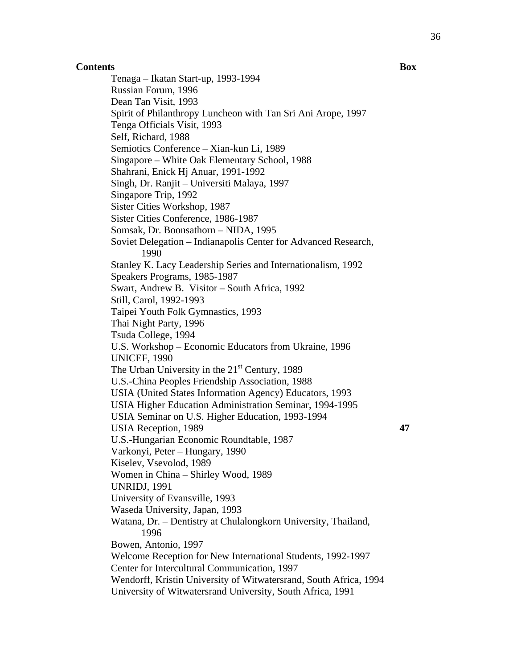Tenaga – Ikatan Start-up, 1993-1994 Russian Forum, 1996 Dean Tan Visit, 1993 Spirit of Philanthropy Luncheon with Tan Sri Ani Arope, 1997 Tenga Officials Visit, 1993 Self, Richard, 1988 Semiotics Conference – Xian-kun Li, 1989 Singapore – White Oak Elementary School, 1988 Shahrani, Enick Hj Anuar, 1991-1992 Singh, Dr. Ranjit – Universiti Malaya, 1997 Singapore Trip, 1992 Sister Cities Workshop, 1987 Sister Cities Conference, 1986-1987 Somsak, Dr. Boonsathorn – NIDA, 1995 Soviet Delegation – Indianapolis Center for Advanced Research, 1990 Stanley K. Lacy Leadership Series and Internationalism, 1992 Speakers Programs, 1985-1987 Swart, Andrew B. Visitor – South Africa, 1992 Still, Carol, 1992-1993 Taipei Youth Folk Gymnastics, 1993 Thai Night Party, 1996 Tsuda College, 1994 U.S. Workshop – Economic Educators from Ukraine, 1996 UNICEF, 1990 The Urban University in the 21<sup>st</sup> Century, 1989 U.S.-China Peoples Friendship Association, 1988 USIA (United States Information Agency) Educators, 1993 USIA Higher Education Administration Seminar, 1994-1995 USIA Seminar on U.S. Higher Education, 1993-1994 USIA Reception, 1989 **47**  U.S.-Hungarian Economic Roundtable, 1987 Varkonyi, Peter – Hungary, 1990 Kiselev, Vsevolod, 1989 Women in China – Shirley Wood, 1989 UNRIDJ, 1991 University of Evansville, 1993 Waseda University, Japan, 1993 Watana, Dr. – Dentistry at Chulalongkorn University, Thailand, 1996 Bowen, Antonio, 1997 Welcome Reception for New International Students, 1992-1997 Center for Intercultural Communication, 1997 Wendorff, Kristin University of Witwatersrand, South Africa, 1994 University of Witwatersrand University, South Africa, 1991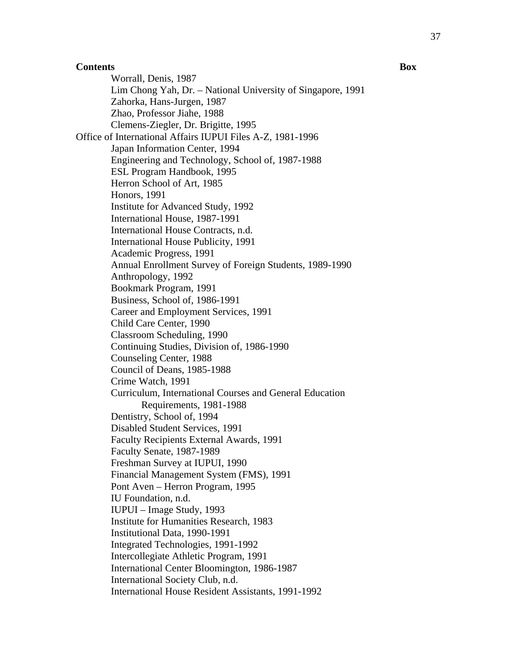**Contents** Box Worrall, Denis, 1987 Lim Chong Yah, Dr. – National University of Singapore, 1991 Zahorka, Hans-Jurgen, 1987 Zhao, Professor Jiahe, 1988 Clemens-Ziegler, Dr. Brigitte, 1995 Office of International Affairs IUPUI Files A-Z, 1981-1996 Japan Information Center, 1994 Engineering and Technology, School of, 1987-1988 ESL Program Handbook, 1995 Herron School of Art, 1985 Honors, 1991 Institute for Advanced Study, 1992 International House, 1987-1991 International House Contracts, n.d. International House Publicity, 1991 Academic Progress, 1991 Annual Enrollment Survey of Foreign Students, 1989-1990 Anthropology, 1992 Bookmark Program, 1991 Business, School of, 1986-1991 Career and Employment Services, 1991 Child Care Center, 1990 Classroom Scheduling, 1990 Continuing Studies, Division of, 1986-1990 Counseling Center, 1988 Council of Deans, 1985-1988 Crime Watch, 1991 Curriculum, International Courses and General Education Requirements, 1981-1988 Dentistry, School of, 1994 Disabled Student Services, 1991 Faculty Recipients External Awards, 1991 Faculty Senate, 1987-1989 Freshman Survey at IUPUI, 1990 Financial Management System (FMS), 1991 Pont Aven – Herron Program, 1995 IU Foundation, n.d. IUPUI – Image Study, 1993 Institute for Humanities Research, 1983 Institutional Data, 1990-1991 Integrated Technologies, 1991-1992 Intercollegiate Athletic Program, 1991 International Center Bloomington, 1986-1987 International Society Club, n.d. International House Resident Assistants, 1991-1992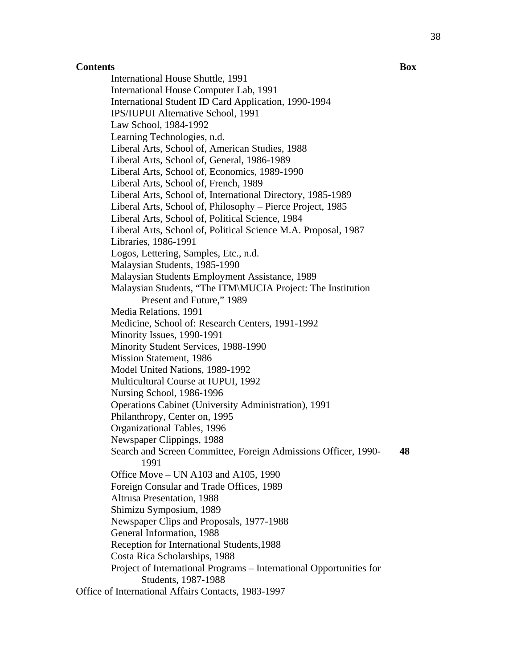International House Shuttle, 1991 International House Computer Lab, 1991 International Student ID Card Application, 1990-1994 IPS/IUPUI Alternative School, 1991 Law School, 1984-1992 Learning Technologies, n.d. Liberal Arts, School of, American Studies, 1988 Liberal Arts, School of, General, 1986-1989 Liberal Arts, School of, Economics, 1989-1990 Liberal Arts, School of, French, 1989 Liberal Arts, School of, International Directory, 1985-1989 Liberal Arts, School of, Philosophy – Pierce Project, 1985 Liberal Arts, School of, Political Science, 1984 Liberal Arts, School of, Political Science M.A. Proposal, 1987 Libraries, 1986-1991 Logos, Lettering, Samples, Etc., n.d. Malaysian Students, 1985-1990 Malaysian Students Employment Assistance, 1989 Malaysian Students, "The ITM\MUCIA Project: The Institution Present and Future," 1989 Media Relations, 1991 Medicine, School of: Research Centers, 1991-1992 Minority Issues, 1990-1991 Minority Student Services, 1988-1990 Mission Statement, 1986 Model United Nations, 1989-1992 Multicultural Course at IUPUI, 1992 Nursing School, 1986-1996 Operations Cabinet (University Administration), 1991 Philanthropy, Center on, 1995 Organizational Tables, 1996 Newspaper Clippings, 1988 Search and Screen Committee, Foreign Admissions Officer, 1990- 1991 **48**  Office Move – UN A103 and A105, 1990 Foreign Consular and Trade Offices, 1989 Altrusa Presentation, 1988 Shimizu Symposium, 1989 Newspaper Clips and Proposals, 1977-1988 General Information, 1988 Reception for International Students,1988 Costa Rica Scholarships, 1988 Project of International Programs – International Opportunities for Students, 1987-1988 Office of International Affairs Contacts, 1983-1997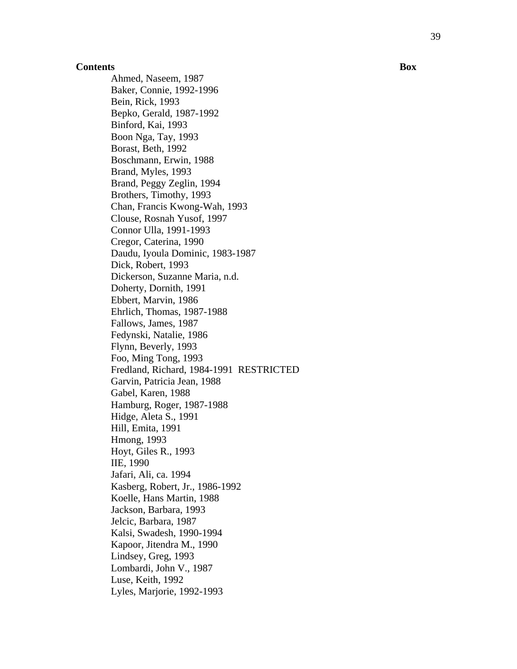Ahmed, Naseem, 1987 Baker, Connie, 1992-1996 Bein, Rick, 1993 Bepko, Gerald, 1987-1992 Binford, Kai, 1993 Boon Nga, Tay, 1993 Borast, Beth, 1992 Boschmann, Erwin, 1988 Brand, Myles, 1993 Brand, Peggy Zeglin, 1994 Brothers, Timothy, 1993 Chan, Francis Kwong-Wah, 1993 Clouse, Rosnah Yusof, 1997 Connor Ulla, 1991-1993 Cregor, Caterina, 1990 Daudu, Iyoula Dominic, 1983-1987 Dick, Robert, 1993 Dickerson, Suzanne Maria, n.d. Doherty, Dornith, 1991 Ebbert, Marvin, 1986 Ehrlich, Thomas, 1987-1988 Fallows, James, 1987 Fedynski, Natalie, 1986 Flynn, Beverly, 1993 Foo, Ming Tong, 1993 Fredland, Richard, 1984-1991 RESTRICTED Garvin, Patricia Jean, 1988 Gabel, Karen, 1988 Hamburg, Roger, 1987-1988 Hidge, Aleta S., 1991 Hill, Emita, 1991 Hmong, 1993 Hoyt, Giles R., 1993 IIE, 1990 Jafari, Ali, ca. 1994 Kasberg, Robert, Jr., 1986-1992 Koelle, Hans Martin, 1988 Jackson, Barbara, 1993 Jelcic, Barbara, 1987 Kalsi, Swadesh, 1990-1994 Kapoor, Jitendra M., 1990 Lindsey, Greg, 1993 Lombardi, John V., 1987 Luse, Keith, 1992 Lyles, Marjorie, 1992-1993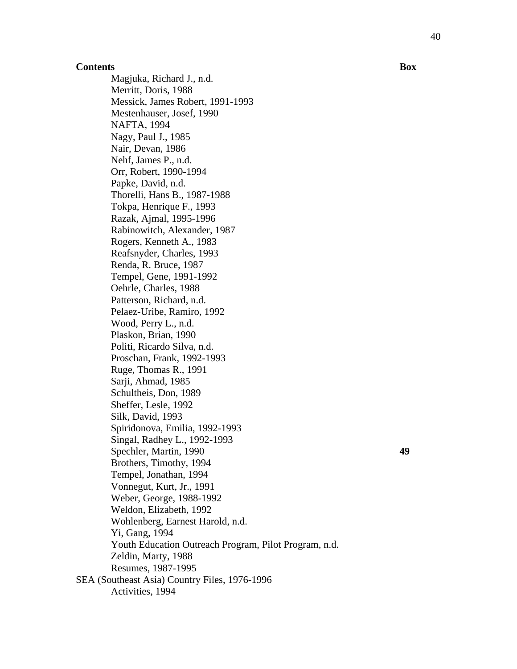Magjuka, Richard J., n.d. Merritt, Doris, 1988 Messick, James Robert, 1991-1993 Mestenhauser, Josef, 1990 NAFTA, 1994 Nagy, Paul J., 1985 Nair, Devan, 1986 Nehf, James P., n.d. Orr, Robert, 1990-1994 Papke, David, n.d. Thorelli, Hans B., 1987-1988 Tokpa, Henrique F., 1993 Razak, Ajmal, 1995-1996 Rabinowitch, Alexander, 1987 Rogers, Kenneth A., 1983 Reafsnyder, Charles, 1993 Renda, R. Bruce, 1987 Tempel, Gene, 1991-1992 Oehrle, Charles, 1988 Patterson, Richard, n.d. Pelaez-Uribe, Ramiro, 1992 Wood, Perry L., n.d. Plaskon, Brian, 1990 Politi, Ricardo Silva, n.d. Proschan, Frank, 1992-1993 Ruge, Thomas R., 1991 Sarji, Ahmad, 1985 Schultheis, Don, 1989 Sheffer, Lesle, 1992 Silk, David, 1993 Spiridonova, Emilia, 1992-1993 Singal, Radhey L., 1992-1993 Spechler, Martin, 1990 **49**  Brothers, Timothy, 1994 Tempel, Jonathan, 1994 Vonnegut, Kurt, Jr., 1991 Weber, George, 1988-1992 Weldon, Elizabeth, 1992 Wohlenberg, Earnest Harold, n.d. Yi, Gang, 1994 Youth Education Outreach Program, Pilot Program, n.d. Zeldin, Marty, 1988 Resumes, 1987-1995 SEA (Southeast Asia) Country Files, 1976-1996 Activities, 1994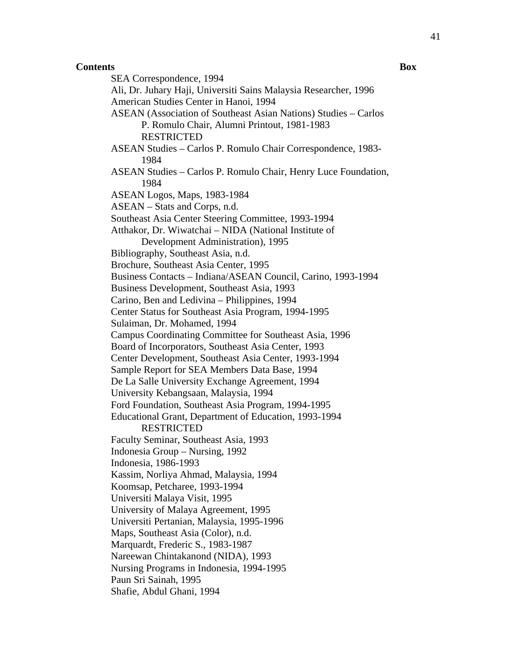**Contents** Box SEA Correspondence, 1994 Ali, Dr. Juhary Haji, Universiti Sains Malaysia Researcher, 1996 American Studies Center in Hanoi, 1994 ASEAN (Association of Southeast Asian Nations) Studies – Carlos P. Romulo Chair, Alumni Printout, 1981-1983 RESTRICTED ASEAN Studies – Carlos P. Romulo Chair Correspondence, 1983- 1984 ASEAN Studies – Carlos P. Romulo Chair, Henry Luce Foundation, 1984 ASEAN Logos, Maps, 1983-1984 ASEAN – Stats and Corps, n.d. Southeast Asia Center Steering Committee, 1993-1994 Atthakor, Dr. Wiwatchai – NIDA (National Institute of Development Administration), 1995 Bibliography, Southeast Asia, n.d. Brochure, Southeast Asia Center, 1995 Business Contacts – Indiana/ASEAN Council, Carino, 1993-1994 Business Development, Southeast Asia, 1993 Carino, Ben and Ledivina – Philippines, 1994 Center Status for Southeast Asia Program, 1994-1995 Sulaiman, Dr. Mohamed, 1994 Campus Coordinating Committee for Southeast Asia, 1996 Board of Incorporators, Southeast Asia Center, 1993 Center Development, Southeast Asia Center, 1993-1994 Sample Report for SEA Members Data Base, 1994 De La Salle University Exchange Agreement, 1994 University Kebangsaan, Malaysia, 1994 Ford Foundation, Southeast Asia Program, 1994-1995 Educational Grant, Department of Education, 1993-1994 RESTRICTED Faculty Seminar, Southeast Asia, 1993 Indonesia Group – Nursing, 1992 Indonesia, 1986-1993 Kassim, Norliya Ahmad, Malaysia, 1994 Koomsap, Petcharee, 1993-1994 Universiti Malaya Visit, 1995 University of Malaya Agreement, 1995 Universiti Pertanian, Malaysia, 1995-1996 Maps, Southeast Asia (Color), n.d. Marquardt, Frederic S., 1983-1987 Nareewan Chintakanond (NIDA), 1993 Nursing Programs in Indonesia, 1994-1995 Paun Sri Sainah, 1995 Shafie, Abdul Ghani, 1994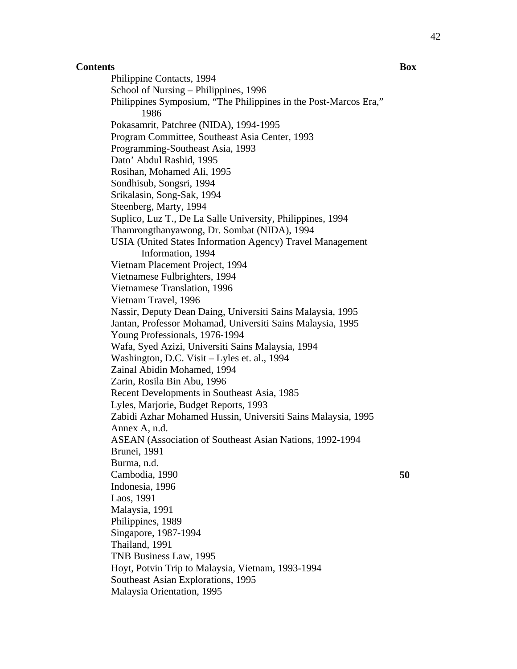Philippine Contacts, 1994 School of Nursing – Philippines, 1996 Philippines Symposium, "The Philippines in the Post-Marcos Era," 1986 Pokasamrit, Patchree (NIDA), 1994-1995 Program Committee, Southeast Asia Center, 1993 Programming-Southeast Asia, 1993 Dato' Abdul Rashid, 1995 Rosihan, Mohamed Ali, 1995 Sondhisub, Songsri, 1994 Srikalasin, Song-Sak, 1994 Steenberg, Marty, 1994 Suplico, Luz T., De La Salle University, Philippines, 1994 Thamrongthanyawong, Dr. Sombat (NIDA), 1994 USIA (United States Information Agency) Travel Management Information, 1994 Vietnam Placement Project, 1994 Vietnamese Fulbrighters, 1994 Vietnamese Translation, 1996 Vietnam Travel, 1996 Nassir, Deputy Dean Daing, Universiti Sains Malaysia, 1995 Jantan, Professor Mohamad, Universiti Sains Malaysia, 1995 Young Professionals, 1976-1994 Wafa, Syed Azizi, Universiti Sains Malaysia, 1994 Washington, D.C. Visit – Lyles et. al., 1994 Zainal Abidin Mohamed, 1994 Zarin, Rosila Bin Abu, 1996 Recent Developments in Southeast Asia, 1985 Lyles, Marjorie, Budget Reports, 1993 Zabidi Azhar Mohamed Hussin, Universiti Sains Malaysia, 1995 Annex A, n.d. ASEAN (Association of Southeast Asian Nations, 1992-1994 Brunei, 1991 Burma, n.d. Cambodia, 1990 **50**  Indonesia, 1996 Laos, 1991 Malaysia, 1991 Philippines, 1989 Singapore, 1987-1994 Thailand, 1991 TNB Business Law, 1995 Hoyt, Potvin Trip to Malaysia, Vietnam, 1993-1994 Southeast Asian Explorations, 1995 Malaysia Orientation, 1995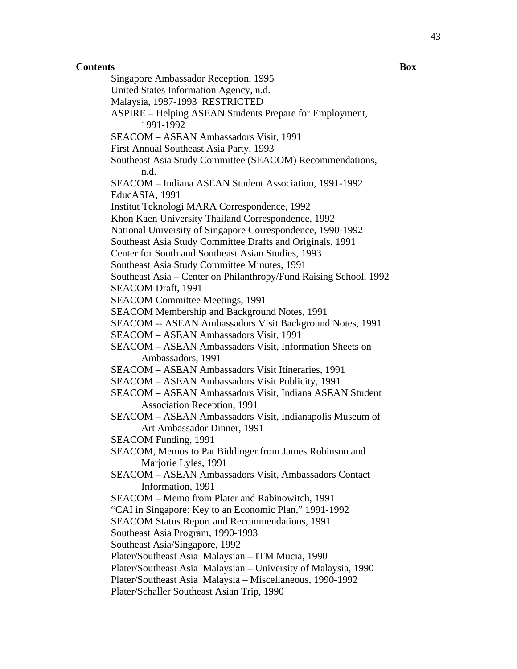Singapore Ambassador Reception, 1995 United States Information Agency, n.d. Malaysia, 1987-1993 RESTRICTED ASPIRE – Helping ASEAN Students Prepare for Employment, 1991-1992 SEACOM – ASEAN Ambassadors Visit, 1991 First Annual Southeast Asia Party, 1993 Southeast Asia Study Committee (SEACOM) Recommendations, n.d. SEACOM – Indiana ASEAN Student Association, 1991-1992 EducASIA, 1991 Institut Teknologi MARA Correspondence, 1992 Khon Kaen University Thailand Correspondence, 1992 National University of Singapore Correspondence, 1990-1992 Southeast Asia Study Committee Drafts and Originals, 1991 Center for South and Southeast Asian Studies, 1993 Southeast Asia Study Committee Minutes, 1991 Southeast Asia – Center on Philanthropy/Fund Raising School, 1992 SEACOM Draft, 1991 SEACOM Committee Meetings, 1991 SEACOM Membership and Background Notes, 1991 SEACOM -- ASEAN Ambassadors Visit Background Notes, 1991 SEACOM – ASEAN Ambassadors Visit, 1991 SEACOM – ASEAN Ambassadors Visit, Information Sheets on Ambassadors, 1991 SEACOM – ASEAN Ambassadors Visit Itineraries, 1991 SEACOM – ASEAN Ambassadors Visit Publicity, 1991 SEACOM – ASEAN Ambassadors Visit, Indiana ASEAN Student Association Reception, 1991 SEACOM – ASEAN Ambassadors Visit, Indianapolis Museum of Art Ambassador Dinner, 1991 SEACOM Funding, 1991 SEACOM, Memos to Pat Biddinger from James Robinson and Marjorie Lyles, 1991 SEACOM – ASEAN Ambassadors Visit, Ambassadors Contact Information, 1991 SEACOM – Memo from Plater and Rabinowitch, 1991 "CAI in Singapore: Key to an Economic Plan," 1991-1992 SEACOM Status Report and Recommendations, 1991 Southeast Asia Program, 1990-1993 Southeast Asia/Singapore, 1992 Plater/Southeast Asia Malaysian – ITM Mucia, 1990 Plater/Southeast Asia Malaysian – University of Malaysia, 1990 Plater/Southeast Asia Malaysia – Miscellaneous, 1990-1992

Plater/Schaller Southeast Asian Trip, 1990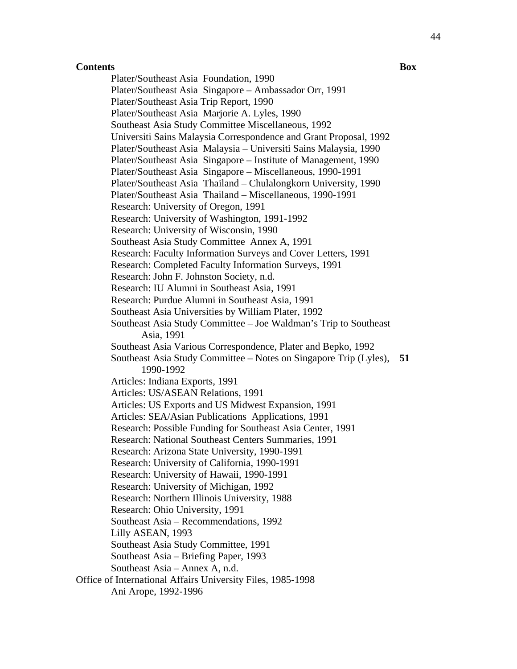Plater/Southeast Asia Foundation, 1990 Plater/Southeast Asia Singapore – Ambassador Orr, 1991 Plater/Southeast Asia Trip Report, 1990 Plater/Southeast Asia Marjorie A. Lyles, 1990 Southeast Asia Study Committee Miscellaneous, 1992 Universiti Sains Malaysia Correspondence and Grant Proposal, 1992 Plater/Southeast Asia Malaysia – Universiti Sains Malaysia, 1990 Plater/Southeast Asia Singapore – Institute of Management, 1990 Plater/Southeast Asia Singapore – Miscellaneous, 1990-1991 Plater/Southeast Asia Thailand – Chulalongkorn University, 1990 Plater/Southeast Asia Thailand – Miscellaneous, 1990-1991 Research: University of Oregon, 1991 Research: University of Washington, 1991-1992 Research: University of Wisconsin, 1990 Southeast Asia Study Committee Annex A, 1991 Research: Faculty Information Surveys and Cover Letters, 1991 Research: Completed Faculty Information Surveys, 1991 Research: John F. Johnston Society, n.d. Research: IU Alumni in Southeast Asia, 1991 Research: Purdue Alumni in Southeast Asia, 1991 Southeast Asia Universities by William Plater, 1992 Southeast Asia Study Committee – Joe Waldman's Trip to Southeast Asia, 1991 Southeast Asia Various Correspondence, Plater and Bepko, 1992 Southeast Asia Study Committee – Notes on Singapore Trip (Lyles), **51**  1990-1992 Articles: Indiana Exports, 1991 Articles: US/ASEAN Relations, 1991 Articles: US Exports and US Midwest Expansion, 1991 Articles: SEA/Asian Publications Applications, 1991 Research: Possible Funding for Southeast Asia Center, 1991 Research: National Southeast Centers Summaries, 1991 Research: Arizona State University, 1990-1991 Research: University of California, 1990-1991 Research: University of Hawaii, 1990-1991 Research: University of Michigan, 1992 Research: Northern Illinois University, 1988 Research: Ohio University, 1991 Southeast Asia – Recommendations, 1992 Lilly ASEAN, 1993 Southeast Asia Study Committee, 1991 Southeast Asia – Briefing Paper, 1993 Southeast Asia – Annex A, n.d. Office of International Affairs University Files, 1985-1998

Ani Arope, 1992-1996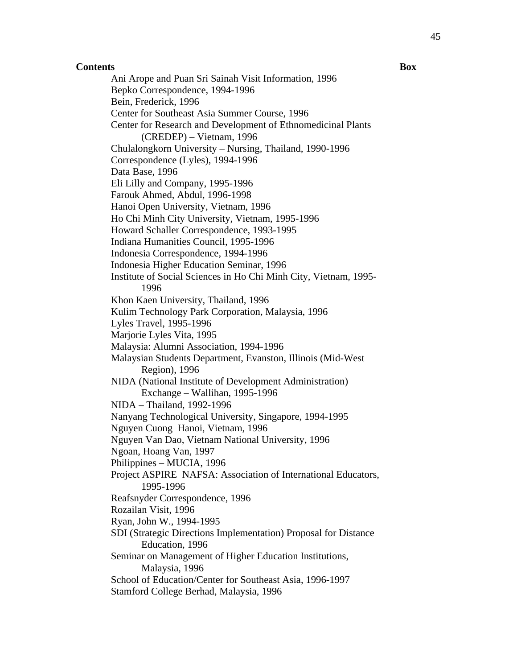Ani Arope and Puan Sri Sainah Visit Information, 1996 Bepko Correspondence, 1994-1996 Bein, Frederick, 1996 Center for Southeast Asia Summer Course, 1996 Center for Research and Development of Ethnomedicinal Plants (CREDEP) – Vietnam, 1996 Chulalongkorn University – Nursing, Thailand, 1990-1996 Correspondence (Lyles), 1994-1996 Data Base, 1996 Eli Lilly and Company, 1995-1996 Farouk Ahmed, Abdul, 1996-1998 Hanoi Open University, Vietnam, 1996 Ho Chi Minh City University, Vietnam, 1995-1996 Howard Schaller Correspondence, 1993-1995 Indiana Humanities Council, 1995-1996 Indonesia Correspondence, 1994-1996 Indonesia Higher Education Seminar, 1996 Institute of Social Sciences in Ho Chi Minh City, Vietnam, 1995- 1996 Khon Kaen University, Thailand, 1996 Kulim Technology Park Corporation, Malaysia, 1996 Lyles Travel, 1995-1996 Marjorie Lyles Vita, 1995 Malaysia: Alumni Association, 1994-1996 Malaysian Students Department, Evanston, Illinois (Mid-West Region), 1996 NIDA (National Institute of Development Administration) Exchange – Wallihan, 1995-1996 NIDA – Thailand, 1992-1996 Nanyang Technological University, Singapore, 1994-1995 Nguyen Cuong Hanoi, Vietnam, 1996 Nguyen Van Dao, Vietnam National University, 1996 Ngoan, Hoang Van, 1997 Philippines – MUCIA, 1996 Project ASPIRE NAFSA: Association of International Educators, 1995-1996 Reafsnyder Correspondence, 1996 Rozailan Visit, 1996 Ryan, John W., 1994-1995 SDI (Strategic Directions Implementation) Proposal for Distance Education, 1996 Seminar on Management of Higher Education Institutions, Malaysia, 1996 School of Education/Center for Southeast Asia, 1996-1997 Stamford College Berhad, Malaysia, 1996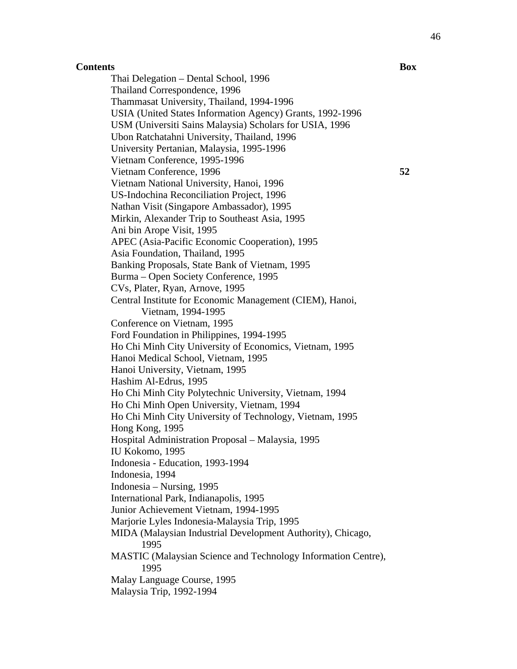Thai Delegation – Dental School, 1996 Thailand Correspondence, 1996 Thammasat University, Thailand, 1994-1996 USIA (United States Information Agency) Grants, 1992-1996 USM (Universiti Sains Malaysia) Scholars for USIA, 1996 Ubon Ratchatahni University, Thailand, 1996 University Pertanian, Malaysia, 1995-1996 Vietnam Conference, 1995-1996 Vietnam Conference, 1996 **52**  Vietnam National University, Hanoi, 1996 US-Indochina Reconciliation Project, 1996 Nathan Visit (Singapore Ambassador), 1995 Mirkin, Alexander Trip to Southeast Asia, 1995 Ani bin Arope Visit, 1995 APEC (Asia-Pacific Economic Cooperation), 1995 Asia Foundation, Thailand, 1995 Banking Proposals, State Bank of Vietnam, 1995 Burma – Open Society Conference, 1995 CVs, Plater, Ryan, Arnove, 1995 Central Institute for Economic Management (CIEM), Hanoi, Vietnam, 1994-1995 Conference on Vietnam, 1995 Ford Foundation in Philippines, 1994-1995 Ho Chi Minh City University of Economics, Vietnam, 1995 Hanoi Medical School, Vietnam, 1995 Hanoi University, Vietnam, 1995 Hashim Al-Edrus, 1995 Ho Chi Minh City Polytechnic University, Vietnam, 1994 Ho Chi Minh Open University, Vietnam, 1994 Ho Chi Minh City University of Technology, Vietnam, 1995 Hong Kong, 1995 Hospital Administration Proposal – Malaysia, 1995 IU Kokomo, 1995 Indonesia - Education, 1993-1994 Indonesia, 1994 Indonesia – Nursing, 1995 International Park, Indianapolis, 1995 Junior Achievement Vietnam, 1994-1995 Marjorie Lyles Indonesia-Malaysia Trip, 1995 MIDA (Malaysian Industrial Development Authority), Chicago, 1995 MASTIC (Malaysian Science and Technology Information Centre), 1995 Malay Language Course, 1995 Malaysia Trip, 1992-1994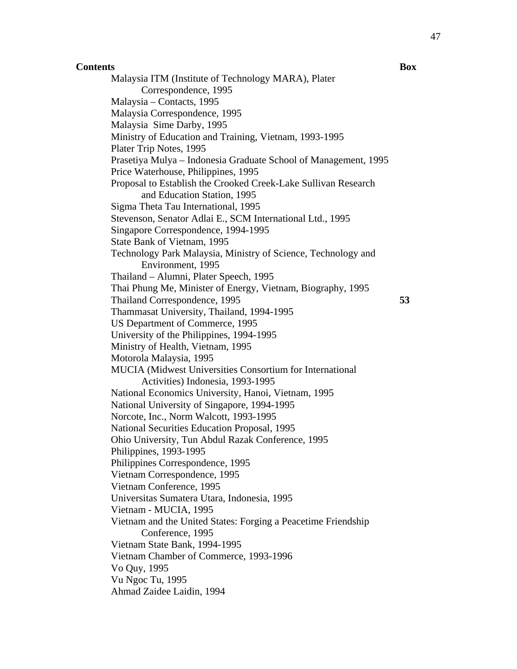Malaysia ITM (Institute of Technology MARA), Plater Correspondence, 1995 Malaysia – Contacts, 1995 Malaysia Correspondence, 1995 Malaysia Sime Darby, 1995 Ministry of Education and Training, Vietnam, 1993-1995 Plater Trip Notes, 1995 Prasetiya Mulya – Indonesia Graduate School of Management, 1995 Price Waterhouse, Philippines, 1995 Proposal to Establish the Crooked Creek-Lake Sullivan Research and Education Station, 1995 Sigma Theta Tau International, 1995 Stevenson, Senator Adlai E., SCM International Ltd., 1995 Singapore Correspondence, 1994-1995 State Bank of Vietnam, 1995 Technology Park Malaysia, Ministry of Science, Technology and Environment, 1995 Thailand – Alumni, Plater Speech, 1995 Thai Phung Me, Minister of Energy, Vietnam, Biography, 1995 Thailand Correspondence, 1995 **53**  Thammasat University, Thailand, 1994-1995 US Department of Commerce, 1995 University of the Philippines, 1994-1995 Ministry of Health, Vietnam, 1995 Motorola Malaysia, 1995 MUCIA (Midwest Universities Consortium for International Activities) Indonesia, 1993-1995 National Economics University, Hanoi, Vietnam, 1995 National University of Singapore, 1994-1995 Norcote, Inc., Norm Walcott, 1993-1995 National Securities Education Proposal, 1995 Ohio University, Tun Abdul Razak Conference, 1995 Philippines, 1993-1995 Philippines Correspondence, 1995 Vietnam Correspondence, 1995 Vietnam Conference, 1995 Universitas Sumatera Utara, Indonesia, 1995 Vietnam - MUCIA, 1995 Vietnam and the United States: Forging a Peacetime Friendship Conference, 1995 Vietnam State Bank, 1994-1995 Vietnam Chamber of Commerce, 1993-1996 Vo Quy, 1995 Vu Ngoc Tu, 1995 Ahmad Zaidee Laidin, 1994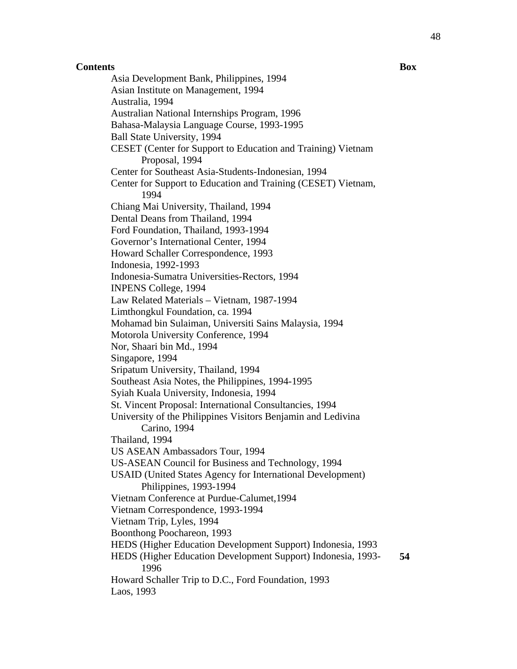Asia Development Bank, Philippines, 1994 Asian Institute on Management, 1994 Australia, 1994 Australian National Internships Program, 1996 Bahasa-Malaysia Language Course, 1993-1995 Ball State University, 1994 CESET (Center for Support to Education and Training) Vietnam Proposal, 1994 Center for Southeast Asia-Students-Indonesian, 1994 Center for Support to Education and Training (CESET) Vietnam, 1994 Chiang Mai University, Thailand, 1994 Dental Deans from Thailand, 1994 Ford Foundation, Thailand, 1993-1994 Governor's International Center, 1994 Howard Schaller Correspondence, 1993 Indonesia, 1992-1993 Indonesia-Sumatra Universities-Rectors, 1994 INPENS College, 1994 Law Related Materials – Vietnam, 1987-1994 Limthongkul Foundation, ca. 1994 Mohamad bin Sulaiman, Universiti Sains Malaysia, 1994 Motorola University Conference, 1994 Nor, Shaari bin Md., 1994 Singapore, 1994 Sripatum University, Thailand, 1994 Southeast Asia Notes, the Philippines, 1994-1995 Syiah Kuala University, Indonesia, 1994 St. Vincent Proposal: International Consultancies, 1994 University of the Philippines Visitors Benjamin and Ledivina Carino, 1994 Thailand, 1994 US ASEAN Ambassadors Tour, 1994 US-ASEAN Council for Business and Technology, 1994 USAID (United States Agency for International Development) Philippines, 1993-1994 Vietnam Conference at Purdue-Calumet,1994 Vietnam Correspondence, 1993-1994 Vietnam Trip, Lyles, 1994 Boonthong Poochareon, 1993 HEDS (Higher Education Development Support) Indonesia, 1993 HEDS (Higher Education Development Support) Indonesia, 1993- 1996 Howard Schaller Trip to D.C., Ford Foundation, 1993 Laos, 1993

**54**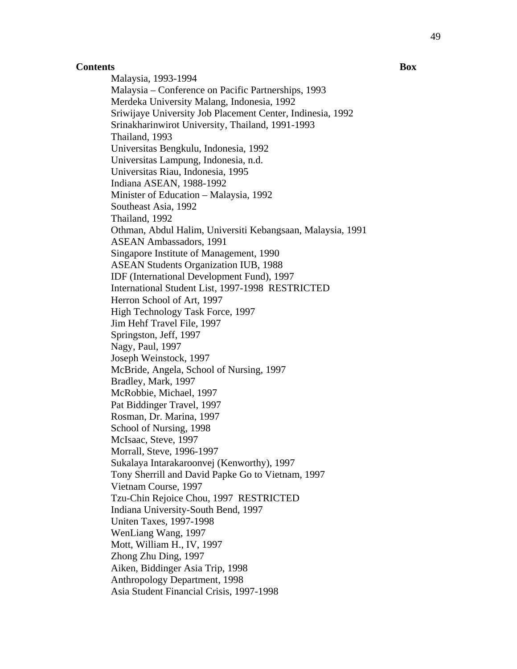Malaysia, 1993-1994 Malaysia – Conference on Pacific Partnerships, 1993 Merdeka University Malang, Indonesia, 1992 Sriwijaye University Job Placement Center, Indinesia, 1992 Srinakharinwirot University, Thailand, 1991-1993 Thailand, 1993 Universitas Bengkulu, Indonesia, 1992 Universitas Lampung, Indonesia, n.d. Universitas Riau, Indonesia, 1995 Indiana ASEAN, 1988-1992 Minister of Education – Malaysia, 1992 Southeast Asia, 1992 Thailand, 1992 Othman, Abdul Halim, Universiti Kebangsaan, Malaysia, 1991 ASEAN Ambassadors, 1991 Singapore Institute of Management, 1990 ASEAN Students Organization IUB, 1988 IDF (International Development Fund), 1997 International Student List, 1997-1998 RESTRICTED Herron School of Art, 1997 High Technology Task Force, 1997 Jim Hehf Travel File, 1997 Springston, Jeff, 1997 Nagy, Paul, 1997 Joseph Weinstock, 1997 McBride, Angela, School of Nursing, 1997 Bradley, Mark, 1997 McRobbie, Michael, 1997 Pat Biddinger Travel, 1997 Rosman, Dr. Marina, 1997 School of Nursing, 1998 McIsaac, Steve, 1997 Morrall, Steve, 1996-1997 Sukalaya Intarakaroonvej (Kenworthy), 1997 Tony Sherrill and David Papke Go to Vietnam, 1997 Vietnam Course, 1997 Tzu-Chin Rejoice Chou, 1997 RESTRICTED Indiana University-South Bend, 1997 Uniten Taxes, 1997-1998 WenLiang Wang, 1997 Mott, William H., IV, 1997 Zhong Zhu Ding, 1997 Aiken, Biddinger Asia Trip, 1998 Anthropology Department, 1998 Asia Student Financial Crisis, 1997-1998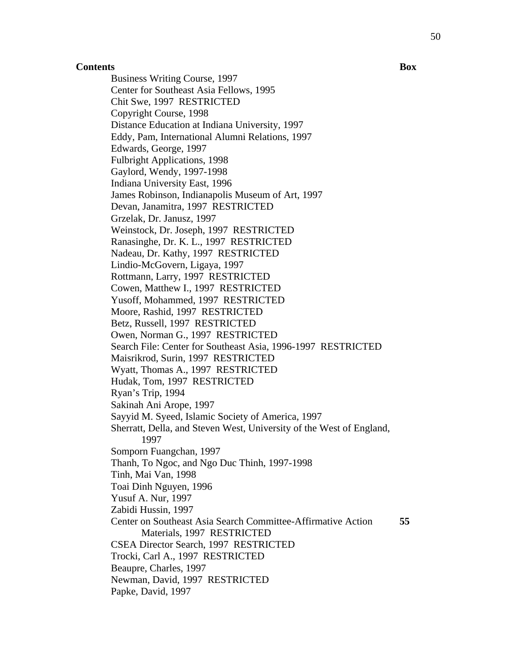Business Writing Course, 1997 Center for Southeast Asia Fellows, 1995 Chit Swe, 1997 RESTRICTED Copyright Course, 1998 Distance Education at Indiana University, 1997 Eddy, Pam, International Alumni Relations, 1997 Edwards, George, 1997 Fulbright Applications, 1998 Gaylord, Wendy, 1997-1998 Indiana University East, 1996 James Robinson, Indianapolis Museum of Art, 1997 Devan, Janamitra, 1997 RESTRICTED Grzelak, Dr. Janusz, 1997 Weinstock, Dr. Joseph, 1997 RESTRICTED Ranasinghe, Dr. K. L., 1997 RESTRICTED Nadeau, Dr. Kathy, 1997 RESTRICTED Lindio-McGovern, Ligaya, 1997 Rottmann, Larry, 1997 RESTRICTED Cowen, Matthew I., 1997 RESTRICTED Yusoff, Mohammed, 1997 RESTRICTED Moore, Rashid, 1997 RESTRICTED Betz, Russell, 1997 RESTRICTED Owen, Norman G., 1997 RESTRICTED Search File: Center for Southeast Asia, 1996-1997 RESTRICTED Maisrikrod, Surin, 1997 RESTRICTED Wyatt, Thomas A., 1997 RESTRICTED Hudak, Tom, 1997 RESTRICTED Ryan's Trip, 1994 Sakinah Ani Arope, 1997 Sayyid M. Syeed, Islamic Society of America, 1997 Sherratt, Della, and Steven West, University of the West of England, 1997 Somporn Fuangchan, 1997 Thanh, To Ngoc, and Ngo Duc Thinh, 1997-1998 Tinh, Mai Van, 1998 Toai Dinh Nguyen, 1996 Yusuf A. Nur, 1997 Zabidi Hussin, 1997 Center on Southeast Asia Search Committee-Affirmative Action Materials, 1997 RESTRICTED **55**  CSEA Director Search, 1997 RESTRICTED Trocki, Carl A., 1997 RESTRICTED Beaupre, Charles, 1997 Newman, David, 1997 RESTRICTED Papke, David, 1997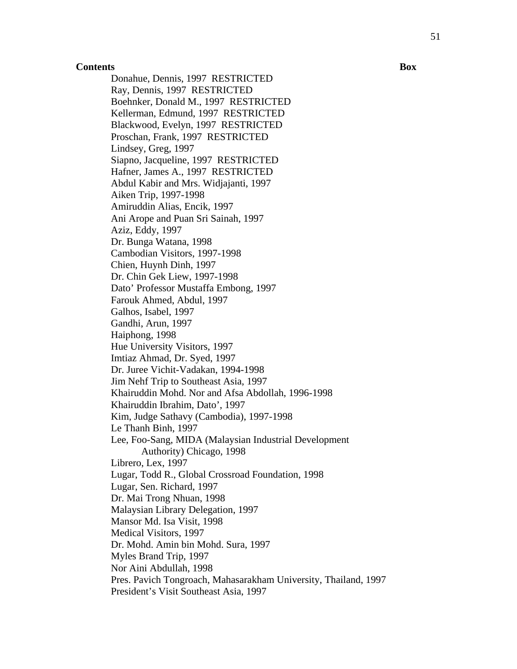Donahue, Dennis, 1997 RESTRICTED Ray, Dennis, 1997 RESTRICTED Boehnker, Donald M., 1997 RESTRICTED Kellerman, Edmund, 1997 RESTRICTED Blackwood, Evelyn, 1997 RESTRICTED Proschan, Frank, 1997 RESTRICTED Lindsey, Greg, 1997 Siapno, Jacqueline, 1997 RESTRICTED Hafner, James A., 1997 RESTRICTED Abdul Kabir and Mrs. Widjajanti, 1997 Aiken Trip, 1997-1998 Amiruddin Alias, Encik, 1997 Ani Arope and Puan Sri Sainah, 1997 Aziz, Eddy, 1997 Dr. Bunga Watana, 1998 Cambodian Visitors, 1997-1998 Chien, Huynh Dinh, 1997 Dr. Chin Gek Liew, 1997-1998 Dato' Professor Mustaffa Embong, 1997 Farouk Ahmed, Abdul, 1997 Galhos, Isabel, 1997 Gandhi, Arun, 1997 Haiphong, 1998 Hue University Visitors, 1997 Imtiaz Ahmad, Dr. Syed, 1997 Dr. Juree Vichit-Vadakan, 1994-1998 Jim Nehf Trip to Southeast Asia, 1997 Khairuddin Mohd. Nor and Afsa Abdollah, 1996-1998 Khairuddin Ibrahim, Dato', 1997 Kim, Judge Sathavy (Cambodia), 1997-1998 Le Thanh Binh, 1997 Lee, Foo-Sang, MIDA (Malaysian Industrial Development Authority) Chicago, 1998 Librero, Lex, 1997 Lugar, Todd R., Global Crossroad Foundation, 1998 Lugar, Sen. Richard, 1997 Dr. Mai Trong Nhuan, 1998 Malaysian Library Delegation, 1997 Mansor Md. Isa Visit, 1998 Medical Visitors, 1997 Dr. Mohd. Amin bin Mohd. Sura, 1997 Myles Brand Trip, 1997 Nor Aini Abdullah, 1998 Pres. Pavich Tongroach, Mahasarakham University, Thailand, 1997 President's Visit Southeast Asia, 1997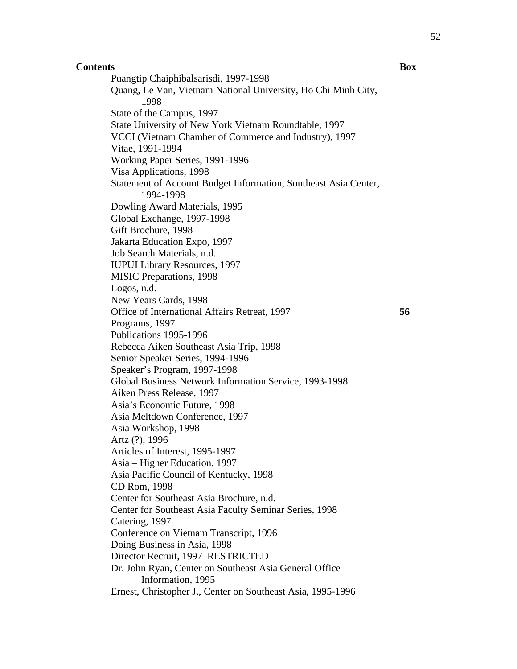Puangtip Chaiphibalsarisdi, 1997-1998 Quang, Le Van, Vietnam National University, Ho Chi Minh City, 1998 State of the Campus, 1997 State University of New York Vietnam Roundtable, 1997 VCCI (Vietnam Chamber of Commerce and Industry), 1997 Vitae, 1991-1994 Working Paper Series, 1991-1996 Visa Applications, 1998 Statement of Account Budget Information, Southeast Asia Center, 1994-1998 Dowling Award Materials, 1995 Global Exchange, 1997-1998 Gift Brochure, 1998 Jakarta Education Expo, 1997 Job Search Materials, n.d. IUPUI Library Resources, 1997 MISIC Preparations, 1998 Logos, n.d. New Years Cards, 1998 Office of International Affairs Retreat, 1997 **56**  Programs, 1997 Publications 1995-1996 Rebecca Aiken Southeast Asia Trip, 1998 Senior Speaker Series, 1994-1996 Speaker's Program, 1997-1998 Global Business Network Information Service, 1993-1998 Aiken Press Release, 1997 Asia's Economic Future, 1998 Asia Meltdown Conference, 1997 Asia Workshop, 1998 Artz (?), 1996 Articles of Interest, 1995-1997 Asia – Higher Education, 1997 Asia Pacific Council of Kentucky, 1998 CD Rom, 1998 Center for Southeast Asia Brochure, n.d. Center for Southeast Asia Faculty Seminar Series, 1998 Catering, 1997 Conference on Vietnam Transcript, 1996 Doing Business in Asia, 1998 Director Recruit, 1997 RESTRICTED Dr. John Ryan, Center on Southeast Asia General Office Information, 1995 Ernest, Christopher J., Center on Southeast Asia, 1995-1996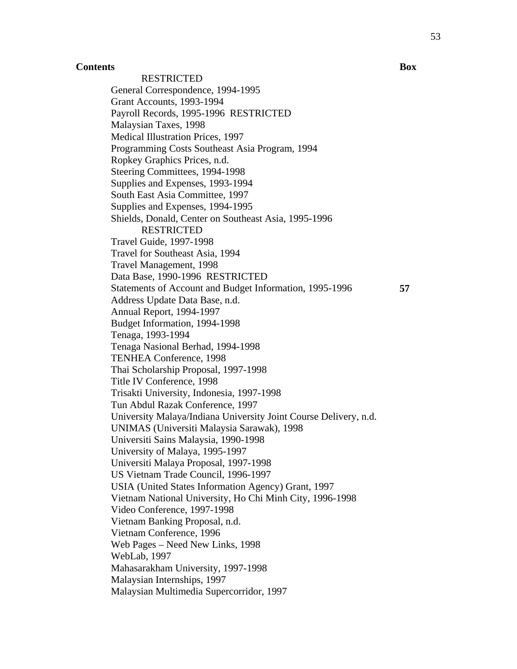RESTRICTED General Correspondence, 1994-1995 Grant Accounts, 1993-1994 Payroll Records, 1995-1996 RESTRICTED Malaysian Taxes, 1998 Medical Illustration Prices, 1997 Programming Costs Southeast Asia Program, 1994 Ropkey Graphics Prices, n.d. Steering Committees, 1994-1998 Supplies and Expenses, 1993-1994 South East Asia Committee, 1997 Supplies and Expenses, 1994-1995 Shields, Donald, Center on Southeast Asia, 1995-1996 RESTRICTED Travel Guide, 1997-1998 Travel for Southeast Asia, 1994 Travel Management, 1998 Data Base, 1990-1996 RESTRICTED Statements of Account and Budget Information, 1995-1996 **57**  Address Update Data Base, n.d. Annual Report, 1994-1997 Budget Information, 1994-1998 Tenaga, 1993-1994 Tenaga Nasional Berhad, 1994-1998 TENHEA Conference, 1998 Thai Scholarship Proposal, 1997-1998 Title IV Conference, 1998 Trisakti University, Indonesia, 1997-1998 Tun Abdul Razak Conference, 1997 University Malaya/Indiana University Joint Course Delivery, n.d. UNIMAS (Universiti Malaysia Sarawak), 1998 Universiti Sains Malaysia, 1990-1998 University of Malaya, 1995-1997 Universiti Malaya Proposal, 1997-1998 US Vietnam Trade Council, 1996-1997 USIA (United States Information Agency) Grant, 1997 Vietnam National University, Ho Chi Minh City, 1996-1998 Video Conference, 1997-1998 Vietnam Banking Proposal, n.d. Vietnam Conference, 1996 Web Pages – Need New Links, 1998 WebLab, 1997 Mahasarakham University, 1997-1998 Malaysian Internships, 1997 Malaysian Multimedia Supercorridor, 1997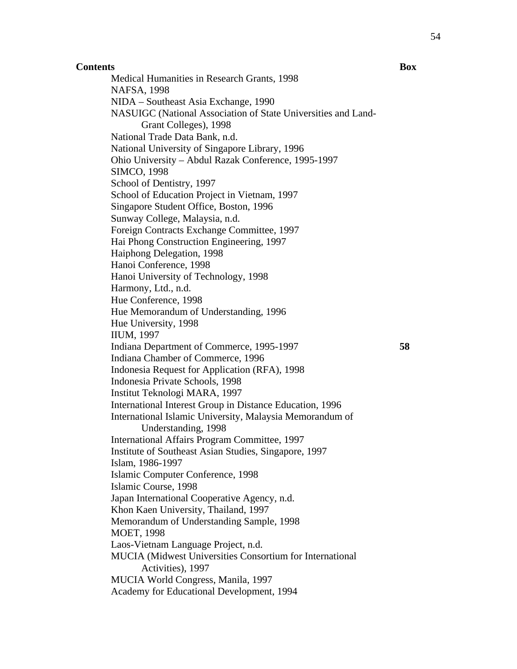Medical Humanities in Research Grants, 1998 NAFSA, 1998 NIDA – Southeast Asia Exchange, 1990 NASUIGC (National Association of State Universities and Land-Grant Colleges), 1998 National Trade Data Bank, n.d. National University of Singapore Library, 1996 Ohio University – Abdul Razak Conference, 1995-1997 SIMCO, 1998 School of Dentistry, 1997 School of Education Project in Vietnam, 1997 Singapore Student Office, Boston, 1996 Sunway College, Malaysia, n.d. Foreign Contracts Exchange Committee, 1997 Hai Phong Construction Engineering, 1997 Haiphong Delegation, 1998 Hanoi Conference, 1998 Hanoi University of Technology, 1998 Harmony, Ltd., n.d. Hue Conference, 1998 Hue Memorandum of Understanding, 1996 Hue University, 1998 IIUM, 1997 Indiana Department of Commerce, 1995-1997 **58**  Indiana Chamber of Commerce, 1996 Indonesia Request for Application (RFA), 1998 Indonesia Private Schools, 1998 Institut Teknologi MARA, 1997 International Interest Group in Distance Education, 1996 International Islamic University, Malaysia Memorandum of Understanding, 1998 International Affairs Program Committee, 1997 Institute of Southeast Asian Studies, Singapore, 1997 Islam, 1986-1997 Islamic Computer Conference, 1998 Islamic Course, 1998 Japan International Cooperative Agency, n.d. Khon Kaen University, Thailand, 1997 Memorandum of Understanding Sample, 1998 MOET, 1998 Laos-Vietnam Language Project, n.d. MUCIA (Midwest Universities Consortium for International Activities), 1997 MUCIA World Congress, Manila, 1997 Academy for Educational Development, 1994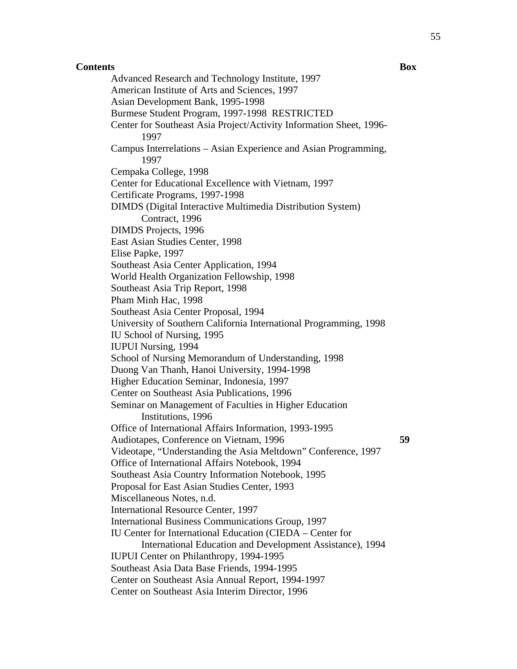Advanced Research and Technology Institute, 1997 American Institute of Arts and Sciences, 1997 Asian Development Bank, 1995-1998 Burmese Student Program, 1997-1998 RESTRICTED Center for Southeast Asia Project/Activity Information Sheet, 1996- 1997 Campus Interrelations – Asian Experience and Asian Programming, 1997 Cempaka College, 1998 Center for Educational Excellence with Vietnam, 1997 Certificate Programs, 1997-1998 DIMDS (Digital Interactive Multimedia Distribution System) Contract, 1996 DIMDS Projects, 1996 East Asian Studies Center, 1998 Elise Papke, 1997 Southeast Asia Center Application, 1994 World Health Organization Fellowship, 1998 Southeast Asia Trip Report, 1998 Pham Minh Hac, 1998 Southeast Asia Center Proposal, 1994 University of Southern California International Programming, 1998 IU School of Nursing, 1995 IUPUI Nursing, 1994 School of Nursing Memorandum of Understanding, 1998 Duong Van Thanh, Hanoi University, 1994-1998 Higher Education Seminar, Indonesia, 1997 Center on Southeast Asia Publications, 1996 Seminar on Management of Faculties in Higher Education Institutions, 1996 Office of International Affairs Information, 1993-1995 Audiotapes, Conference on Vietnam, 1996 **59**  Videotape, "Understanding the Asia Meltdown" Conference, 1997 Office of International Affairs Notebook, 1994 Southeast Asia Country Information Notebook, 1995 Proposal for East Asian Studies Center, 1993 Miscellaneous Notes, n.d. International Resource Center, 1997 International Business Communications Group, 1997 IU Center for International Education (CIEDA – Center for International Education and Development Assistance), 1994 IUPUI Center on Philanthropy, 1994-1995 Southeast Asia Data Base Friends, 1994-1995 Center on Southeast Asia Annual Report, 1994-1997 Center on Southeast Asia Interim Director, 1996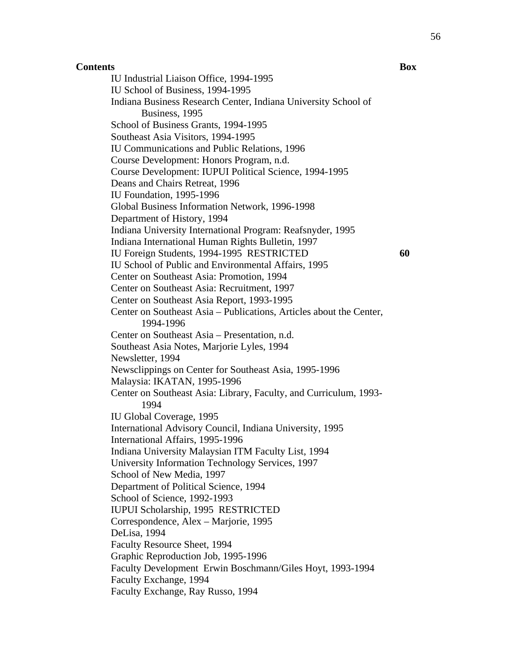IU Industrial Liaison Office, 1994-1995 IU School of Business, 1994-1995 Indiana Business Research Center, Indiana University School of Business, 1995 School of Business Grants, 1994-1995 Southeast Asia Visitors, 1994-1995 IU Communications and Public Relations, 1996 Course Development: Honors Program, n.d. Course Development: IUPUI Political Science, 1994-1995 Deans and Chairs Retreat, 1996 IU Foundation, 1995-1996 Global Business Information Network, 1996-1998 Department of History, 1994 Indiana University International Program: Reafsnyder, 1995 Indiana International Human Rights Bulletin, 1997 IU Foreign Students, 1994-1995 RESTRICTED **60**  IU School of Public and Environmental Affairs, 1995 Center on Southeast Asia: Promotion, 1994 Center on Southeast Asia: Recruitment, 1997 Center on Southeast Asia Report, 1993-1995 Center on Southeast Asia – Publications, Articles about the Center, 1994-1996 Center on Southeast Asia – Presentation, n.d. Southeast Asia Notes, Marjorie Lyles, 1994 Newsletter, 1994 Newsclippings on Center for Southeast Asia, 1995-1996 Malaysia: IKATAN, 1995-1996 Center on Southeast Asia: Library, Faculty, and Curriculum, 1993- 1994 IU Global Coverage, 1995 International Advisory Council, Indiana University, 1995 International Affairs, 1995-1996 Indiana University Malaysian ITM Faculty List, 1994 University Information Technology Services, 1997 School of New Media, 1997 Department of Political Science, 1994 School of Science, 1992-1993 IUPUI Scholarship, 1995 RESTRICTED Correspondence, Alex – Marjorie, 1995 DeLisa, 1994 Faculty Resource Sheet, 1994 Graphic Reproduction Job, 1995-1996 Faculty Development Erwin Boschmann/Giles Hoyt, 1993-1994 Faculty Exchange, 1994 Faculty Exchange, Ray Russo, 1994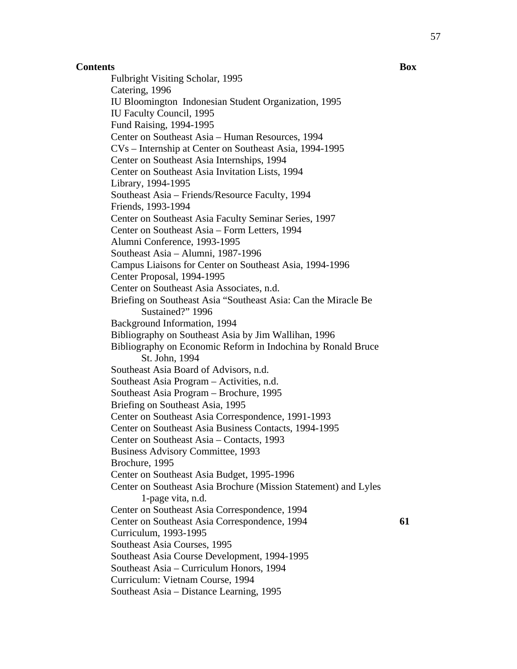Fulbright Visiting Scholar, 1995 Catering, 1996 IU Bloomington Indonesian Student Organization, 1995 IU Faculty Council, 1995 Fund Raising, 1994-1995 Center on Southeast Asia – Human Resources, 1994 CVs – Internship at Center on Southeast Asia, 1994-1995 Center on Southeast Asia Internships, 1994 Center on Southeast Asia Invitation Lists, 1994 Library, 1994-1995 Southeast Asia – Friends/Resource Faculty, 1994 Friends, 1993-1994 Center on Southeast Asia Faculty Seminar Series, 1997 Center on Southeast Asia – Form Letters, 1994 Alumni Conference, 1993-1995 Southeast Asia – Alumni, 1987-1996 Campus Liaisons for Center on Southeast Asia, 1994-1996 Center Proposal, 1994-1995 Center on Southeast Asia Associates, n.d. Briefing on Southeast Asia "Southeast Asia: Can the Miracle Be Sustained?" 1996 Background Information, 1994 Bibliography on Southeast Asia by Jim Wallihan, 1996 Bibliography on Economic Reform in Indochina by Ronald Bruce St. John, 1994 Southeast Asia Board of Advisors, n.d. Southeast Asia Program – Activities, n.d. Southeast Asia Program – Brochure, 1995 Briefing on Southeast Asia, 1995 Center on Southeast Asia Correspondence, 1991-1993 Center on Southeast Asia Business Contacts, 1994-1995 Center on Southeast Asia – Contacts, 1993 Business Advisory Committee, 1993 Brochure, 1995 Center on Southeast Asia Budget, 1995-1996 Center on Southeast Asia Brochure (Mission Statement) and Lyles 1-page vita, n.d. Center on Southeast Asia Correspondence, 1994 Center on Southeast Asia Correspondence, 1994 **61**  Curriculum, 1993-1995 Southeast Asia Courses, 1995 Southeast Asia Course Development, 1994-1995 Southeast Asia – Curriculum Honors, 1994 Curriculum: Vietnam Course, 1994 Southeast Asia – Distance Learning, 1995

57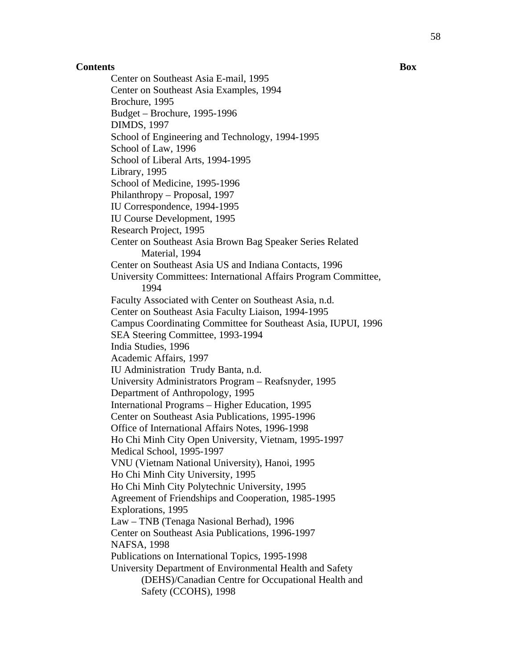Center on Southeast Asia E-mail, 1995 Center on Southeast Asia Examples, 1994 Brochure, 1995 Budget – Brochure, 1995-1996 DIMDS, 1997 School of Engineering and Technology, 1994-1995 School of Law, 1996 School of Liberal Arts, 1994-1995 Library, 1995 School of Medicine, 1995-1996 Philanthropy – Proposal, 1997 IU Correspondence, 1994-1995 IU Course Development, 1995 Research Project, 1995 Center on Southeast Asia Brown Bag Speaker Series Related Material, 1994 Center on Southeast Asia US and Indiana Contacts, 1996 University Committees: International Affairs Program Committee, 1994 Faculty Associated with Center on Southeast Asia, n.d. Center on Southeast Asia Faculty Liaison, 1994-1995 Campus Coordinating Committee for Southeast Asia, IUPUI, 1996 SEA Steering Committee, 1993-1994 India Studies, 1996 Academic Affairs, 1997 IU Administration Trudy Banta, n.d. University Administrators Program – Reafsnyder, 1995 Department of Anthropology, 1995 International Programs – Higher Education, 1995 Center on Southeast Asia Publications, 1995-1996 Office of International Affairs Notes, 1996-1998 Ho Chi Minh City Open University, Vietnam, 1995-1997 Medical School, 1995-1997 VNU (Vietnam National University), Hanoi, 1995 Ho Chi Minh City University, 1995 Ho Chi Minh City Polytechnic University, 1995 Agreement of Friendships and Cooperation, 1985-1995 Explorations, 1995 Law – TNB (Tenaga Nasional Berhad), 1996 Center on Southeast Asia Publications, 1996-1997 NAFSA, 1998 Publications on International Topics, 1995-1998 University Department of Environmental Health and Safety (DEHS)/Canadian Centre for Occupational Health and Safety (CCOHS), 1998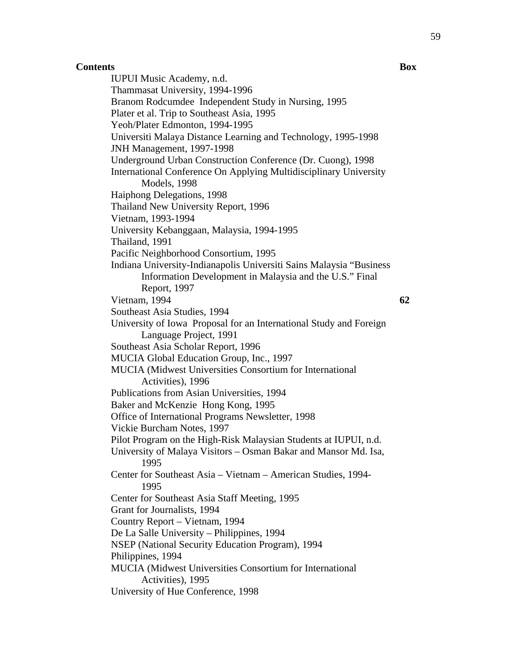IUPUI Music Academy, n.d. Thammasat University, 1994-1996 Branom Rodcumdee Independent Study in Nursing, 1995 Plater et al. Trip to Southeast Asia, 1995 Yeoh/Plater Edmonton, 1994-1995 Universiti Malaya Distance Learning and Technology, 1995-1998 JNH Management, 1997-1998 Underground Urban Construction Conference (Dr. Cuong), 1998 International Conference On Applying Multidisciplinary University Models, 1998 Haiphong Delegations, 1998 Thailand New University Report, 1996 Vietnam, 1993-1994 University Kebanggaan, Malaysia, 1994-1995 Thailand, 1991 Pacific Neighborhood Consortium, 1995 Indiana University-Indianapolis Universiti Sains Malaysia "Business Information Development in Malaysia and the U.S." Final Report, 1997 Vietnam, 1994 **62**  Southeast Asia Studies, 1994 University of Iowa Proposal for an International Study and Foreign Language Project, 1991 Southeast Asia Scholar Report, 1996 MUCIA Global Education Group, Inc., 1997 MUCIA (Midwest Universities Consortium for International Activities), 1996 Publications from Asian Universities, 1994 Baker and McKenzie Hong Kong, 1995 Office of International Programs Newsletter, 1998 Vickie Burcham Notes, 1997 Pilot Program on the High-Risk Malaysian Students at IUPUI, n.d. University of Malaya Visitors – Osman Bakar and Mansor Md. Isa, 1995 Center for Southeast Asia – Vietnam – American Studies, 1994- 1995 Center for Southeast Asia Staff Meeting, 1995 Grant for Journalists, 1994 Country Report – Vietnam, 1994 De La Salle University – Philippines, 1994 NSEP (National Security Education Program), 1994 Philippines, 1994 MUCIA (Midwest Universities Consortium for International Activities), 1995 University of Hue Conference, 1998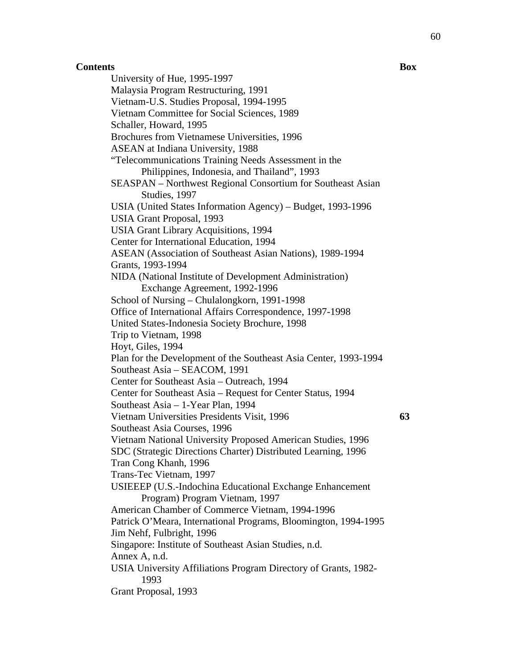**Contents** Box University of Hue, 1995-1997 Malaysia Program Restructuring, 1991 Vietnam-U.S. Studies Proposal, 1994-1995 Vietnam Committee for Social Sciences, 1989 Schaller, Howard, 1995 Brochures from Vietnamese Universities, 1996 ASEAN at Indiana University, 1988 "Telecommunications Training Needs Assessment in the Philippines, Indonesia, and Thailand", 1993 SEASPAN – Northwest Regional Consortium for Southeast Asian Studies, 1997 USIA (United States Information Agency) – Budget, 1993-1996 USIA Grant Proposal, 1993 USIA Grant Library Acquisitions, 1994 Center for International Education, 1994 ASEAN (Association of Southeast Asian Nations), 1989-1994 Grants, 1993-1994 NIDA (National Institute of Development Administration) Exchange Agreement, 1992-1996 School of Nursing – Chulalongkorn, 1991-1998 Office of International Affairs Correspondence, 1997-1998 United States-Indonesia Society Brochure, 1998 Trip to Vietnam, 1998 Hoyt, Giles, 1994 Plan for the Development of the Southeast Asia Center, 1993-1994 Southeast Asia – SEACOM, 1991 Center for Southeast Asia – Outreach, 1994 Center for Southeast Asia – Request for Center Status, 1994 Southeast Asia – 1-Year Plan, 1994 Vietnam Universities Presidents Visit, 1996 **63**  Southeast Asia Courses, 1996 Vietnam National University Proposed American Studies, 1996 SDC (Strategic Directions Charter) Distributed Learning, 1996 Tran Cong Khanh, 1996 Trans-Tec Vietnam, 1997 USIEEEP (U.S.-Indochina Educational Exchange Enhancement Program) Program Vietnam, 1997 American Chamber of Commerce Vietnam, 1994-1996 Patrick O'Meara, International Programs, Bloomington, 1994-1995 Jim Nehf, Fulbright, 1996 Singapore: Institute of Southeast Asian Studies, n.d. Annex A, n.d. USIA University Affiliations Program Directory of Grants, 1982- 1993 Grant Proposal, 1993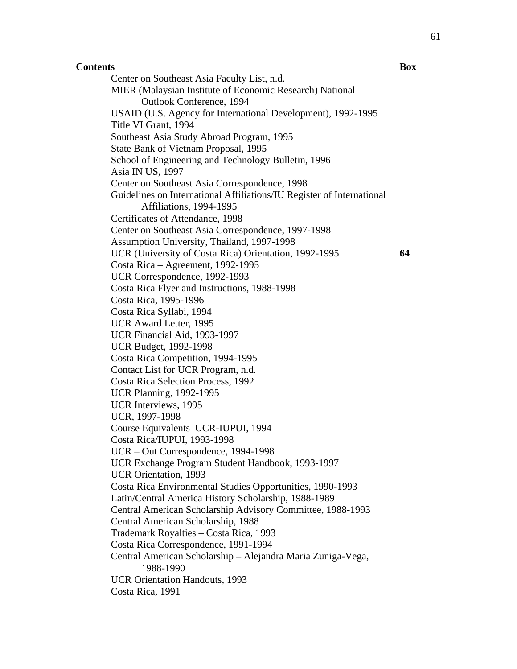Center on Southeast Asia Faculty List, n.d. MIER (Malaysian Institute of Economic Research) National Outlook Conference, 1994 USAID (U.S. Agency for International Development), 1992-1995 Title VI Grant, 1994 Southeast Asia Study Abroad Program, 1995 State Bank of Vietnam Proposal, 1995 School of Engineering and Technology Bulletin, 1996 Asia IN US, 1997 Center on Southeast Asia Correspondence, 1998 Guidelines on International Affiliations/IU Register of International Affiliations, 1994-1995 Certificates of Attendance, 1998 Center on Southeast Asia Correspondence, 1997-1998 Assumption University, Thailand, 1997-1998 UCR (University of Costa Rica) Orientation, 1992-1995 **64**  Costa Rica – Agreement, 1992-1995 UCR Correspondence, 1992-1993 Costa Rica Flyer and Instructions, 1988-1998 Costa Rica, 1995-1996 Costa Rica Syllabi, 1994 UCR Award Letter, 1995 UCR Financial Aid, 1993-1997 UCR Budget, 1992-1998 Costa Rica Competition, 1994-1995 Contact List for UCR Program, n.d. Costa Rica Selection Process, 1992 UCR Planning, 1992-1995 UCR Interviews, 1995 UCR, 1997-1998 Course Equivalents UCR-IUPUI, 1994 Costa Rica/IUPUI, 1993-1998 UCR – Out Correspondence, 1994-1998 UCR Exchange Program Student Handbook, 1993-1997 UCR Orientation, 1993 Costa Rica Environmental Studies Opportunities, 1990-1993 Latin/Central America History Scholarship, 1988-1989 Central American Scholarship Advisory Committee, 1988-1993 Central American Scholarship, 1988 Trademark Royalties – Costa Rica, 1993 Costa Rica Correspondence, 1991-1994 Central American Scholarship – Alejandra Maria Zuniga-Vega, 1988-1990 UCR Orientation Handouts, 1993 Costa Rica, 1991